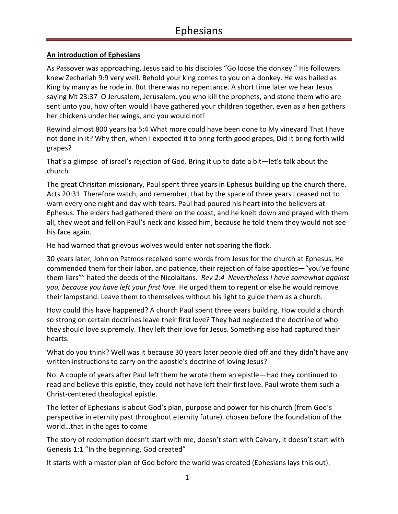#### **An introduction of Ephesians**

As Passover was approaching, Jesus said to his disciples "Go loose the donkey." His followers knew Zechariah 9:9 very well. Behold your king comes to you on a donkey. He was hailed as King by many as he rode in. But there was no repentance. A short time later we hear Jesus saying Mt 23:37 O Jerusalem, Jerusalem, you who kill the prophets, and stone them who are sent unto you, how often would I have gathered your children together, even as a hen gathers her chickens under her wings, and you would not!

Rewind almost 800 years Isa 5:4 What more could have been done to My vineyard That I have not done in it? Why then, when I expected it to bring forth good grapes, Did it bring forth wild grapes?

That's a glimpse of israel's rejection of God. Bring it up to date a bit—let's talk about the church

The great Chrisitan missionary, Paul spent three years in Ephesus building up the church there. Acts 20:31 Therefore watch, and remember, that by the space of three years I ceased not to warn every one night and day with tears. Paul had poured his heart into the believers at Ephesus. The elders had gathered there on the coast, and he knelt down and prayed with them all, they wept and fell on Paul's neck and kissed him, because he told them they would not see his face again.

He had warned that grievous wolves would enter not sparing the flock.

30 years later, John on Patmos received some words from Jesus for the church at Ephesus, He commended them for their labor, and patience, their rejection of false apostles—"you've found them liars"" hated the deeds of the Nicolaitans. *Rev 2:4 Nevertheless I have somewhat against you, because you have left your first love.* He urged them to repent or else he would remove their lampstand. Leave them to themselves without his light to guide them as a church.

How could this have happened? A church Paul spent three years building. How could a church so strong on certain doctrines leave their first love? They had neglected the doctrine of who they should love supremely. They left their love for Jesus. Something else had captured their hearts.

What do you think? Well was it because 30 years later people died off and they didn't have any written instructions to carry on the apostle's doctrine of loving Jesus?

No. A couple of years after Paul left them he wrote them an epistle—Had they continued to read and believe this epistle, they could not have left their first love. Paul wrote them such a Christ-centered theological epistle.

The letter of Ephesians is about God's plan, purpose and power for his church (from God's perspective in eternity past throughout eternity future). chosen before the foundation of the world…that in the ages to come

The story of redemption doesn't start with me, doesn't start with Calvary, it doesn't start with Genesis 1:1 "In the beginning, God created"

It starts with a master plan of God before the world was created (Ephesians lays this out).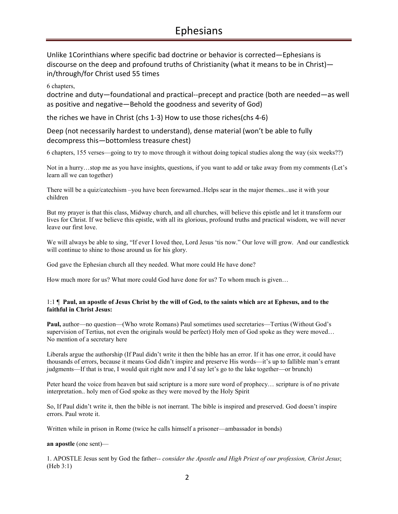Unlike 1Corinthians where specific bad doctrine or behavior is corrected—Ephesians is discourse on the deep and profound truths of Christianity (what it means to be in Christ) in/through/for Christ used 55 times

6 chapters,

doctrine and duty—foundational and practical--precept and practice (both are needed—as well as positive and negative—Behold the goodness and severity of God)

the riches we have in Christ (chs 1-3) How to use those riches(chs 4-6)

Deep (not necessarily hardest to understand), dense material (won't be able to fully decompress this—bottomless treasure chest)

6 chapters, 155 verses—going to try to move through it without doing topical studies along the way (six weeks??)

Not in a hurry…stop me as you have insights, questions, if you want to add or take away from my comments (Let's learn all we can together)

There will be a quiz/catechism –you have been forewarned..Helps sear in the major themes...use it with your children

But my prayer is that this class, Midway church, and all churches, will believe this epistle and let it transform our lives for Christ. If we believe this epistle, with all its glorious, profound truths and practical wisdom, we will never leave our first love.

We will always be able to sing, "If ever I loved thee, Lord Jesus 'tis now." Our love will grow. And our candlestick will continue to shine to those around us for his glory.

God gave the Ephesian church all they needed. What more could He have done?

How much more for us? What more could God have done for us? To whom much is given…

#### 1:1 ¶ **Paul, an apostle of Jesus Christ by the will of God, to the saints which are at Ephesus, and to the faithful in Christ Jesus:**

**Paul,** author—no question—(Who wrote Romans) Paul sometimes used secretaries—Tertius (Without God's supervision of Tertius, not even the originals would be perfect) Holy men of God spoke as they were moved... No mention of a secretary here

Liberals argue the authorship (If Paul didn't write it then the bible has an error. If it has one error, it could have thousands of errors, because it means God didn't inspire and preserve His words—it's up to fallible man's errant judgments—If that is true, I would quit right now and I'd say let's go to the lake together—or brunch)

Peter heard the voice from heaven but said scripture is a more sure word of prophecy… scripture is of no private interpretation.. holy men of God spoke as they were moved by the Holy Spirit

So, If Paul didn't write it, then the bible is not inerrant. The bible is inspired and preserved. God doesn't inspire errors. Paul wrote it.

Written while in prison in Rome (twice he calls himself a prisoner—ambassador in bonds)

#### **an apostle** (one sent)—

1. APOSTLE Jesus sent by God the father*-- consider the Apostle and High Priest of our profession, Christ Jesus*; (Heb 3:1)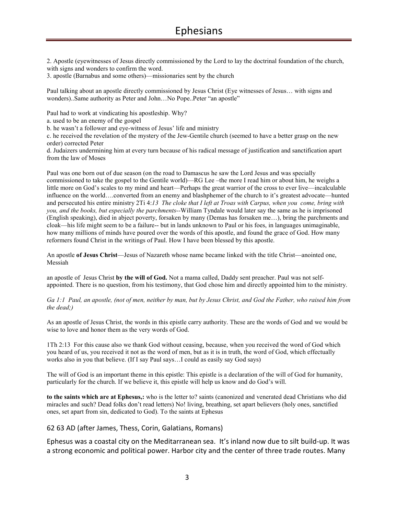2. Apostle (eyewitnesses of Jesus directly commissioned by the Lord to lay the doctrinal foundation of the church, with signs and wonders to confirm the word.

3. apostle (Barnabus and some others)—missionaries sent by the church

Paul talking about an apostle directly commissioned by Jesus Christ (Eye witnesses of Jesus… with signs and wonders)..Same authority as Peter and John…No Pope..Peter "an apostle"

Paul had to work at vindicating his apostleship. Why?

a. used to be an enemy of the gospel

b. he wasn't a follower and eye-witness of Jesus' life and ministry

c. he received the revelation of the mystery of the Jew-Gentile church (seemed to have a better grasp on the new order) corrected Peter

d. Judaizers undermining him at every turn because of his radical message of justification and sanctification apart from the law of Moses

Paul was one born out of due season (on the road to Damascus he saw the Lord Jesus and was specially commissioned to take the gospel to the Gentile world)—RG Lee –the more I read him or about him, he weighs a little more on God's scales to my mind and heart—Perhaps the great warrior of the cross to ever live—incalculable influence on the world….converted from an enemy and blashphemer of the church to it's greatest advocate—hunted and persecuted his entire ministry 2Ti 4:*13 The cloke that I left at Troas with Carpus, when you come, bring with you, and the books, but especially the parchments--*William Tyndale would later say the same as he is imprisoned (English speaking), died in abject poverty, forsaken by many (Demas has forsaken me…), bring the parchments and cloak—his life might seem to be a failure-- but in lands unknown to Paul or his foes, in languages unimaginable, how many millions of minds have poured over the words of this apostle, and found the grace of God. How many reformers found Christ in the writings of Paul. How I have been blessed by this apostle.

An apostle **of Jesus Christ**—Jesus of Nazareth whose name became linked with the title Christ—anointed one, Messiah

an apostle of Jesus Christ **by the will of God.** Not a mama called, Daddy sent preacher. Paul was not selfappointed. There is no question, from his testimony, that God chose him and directly appointed him to the ministry.

*Ga 1:1 Paul, an apostle, (not of men, neither by man, but by Jesus Christ, and God the Father, who raised him from the dead;)* 

As an apostle of Jesus Christ, the words in this epistle carry authority. These are the words of God and we would be wise to love and honor them as the very words of God.

1Th 2:13 For this cause also we thank God without ceasing, because, when you received the word of God which you heard of us, you received it not as the word of men, but as it is in truth, the word of God, which effectually works also in you that believe. (If I say Paul says…I could as easily say God says)

The will of God is an important theme in this epistle: This epistle is a declaration of the will of God for humanity, particularly for the church. If we believe it, this epistle will help us know and do God's will.

**to the saints which are at Ephesus,:** who is the letter to? saints (canonized and venerated dead Christians who did miracles and such? Dead folks don't read letters) No! living, breathing, set apart believers (holy ones, sanctified ones, set apart from sin, dedicated to God). To the saints at Ephesus

62 63 AD (after James, Thess, Corin, Galatians, Romans)

Ephesus was a coastal city on the Meditarranean sea. It's inland now due to silt build-up. It was a strong economic and political power. Harbor city and the center of three trade routes. Many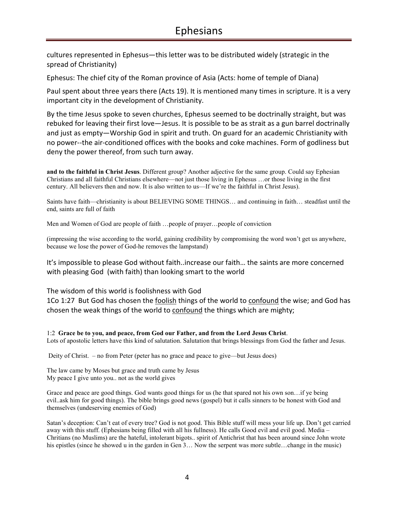cultures represented in Ephesus—this letter was to be distributed widely (strategic in the spread of Christianity)

Ephesus: The chief city of the Roman province of Asia (Acts: home of temple of Diana)

Paul spent about three years there (Acts 19). It is mentioned many times in scripture. It is a very important city in the development of Christianity.

By the time Jesus spoke to seven churches, Ephesus seemed to be doctrinally straight, but was rebuked for leaving their first love—Jesus. It is possible to be as strait as a gun barrel doctrinally and just as empty—Worship God in spirit and truth. On guard for an academic Christianity with no power--the air-conditioned offices with the books and coke machines. Form of godliness but deny the power thereof, from such turn away.

**and to the faithful in Christ Jesus**. Different group? Another adjective for the same group. Could say Ephesian Christians and all faithful Christians elsewhere—not just those living in Ephesus …or those living in the first century. All believers then and now. It is also written to us—If we're the faithful in Christ Jesus).

Saints have faith—christianity is about BELIEVING SOME THINGS… and continuing in faith… steadfast until the end, saints are full of faith

Men and Women of God are people of faith …people of prayer…people of conviction

(impressing the wise according to the world, gaining credibility by compromising the word won't get us anywhere, because we lose the power of God-he removes the lampstand)

It's impossible to please God without faith..increase our faith… the saints are more concerned with pleasing God (with faith) than looking smart to the world

The wisdom of this world is foolishness with God

1Co 1:27 But God has chosen the foolish things of the world to confound the wise; and God has chosen the weak things of the world to confound the things which are mighty;

1:2 **Grace be to you, and peace, from God our Father, and from the Lord Jesus Christ**. Lots of apostolic letters have this kind of salutation. Salutation that brings blessings from God the father and Jesus.

Deity of Christ. – no from Peter (peter has no grace and peace to give—but Jesus does)

The law came by Moses but grace and truth came by Jesus My peace I give unto you.. not as the world gives

Grace and peace are good things. God wants good things for us (he that spared not his own son…if ye being evil..ask him for good things). The bible brings good news (gospel) but it calls sinners to be honest with God and themselves (undeserving enemies of God)

Satan's deception: Can't eat of every tree? God is not good. This Bible stuff will mess your life up. Don't get carried away with this stuff. (Ephesians being filled with all his fullness). He calls Good evil and evil good. Media – Chritians (no Muslims) are the hateful, intolerant bigots.. spirit of Antichrist that has been around since John wrote his epistles (since he showed u in the garden in Gen 3... Now the serpent was more subtle...change in the music)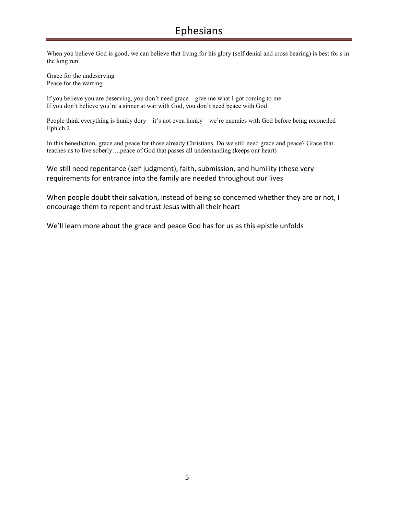When you believe God is good, we can believe that living for his glory (self denial and cross bearing) is best for s in the long run

Grace for the undeserving Peace for the warring

If you believe you are deserving, you don't need grace—give me what I got coming to me If you don't believe you're a sinner at war with God, you don't need peace with God

People think everything is hunky dory—it's not even hunky—we're enemies with God before being reconciled— Eph ch 2

In this benediction, grace and peace for those already Christians. Do we still need grace and peace? Grace that teaches us to live soberly….peace of God that passes all understanding (keeps our heart)

We still need repentance (self judgment), faith, submission, and humility (these very requirements for entrance into the family are needed throughout our lives

When people doubt their salvation, instead of being so concerned whether they are or not, I encourage them to repent and trust Jesus with all their heart

We'll learn more about the grace and peace God has for us as this epistle unfolds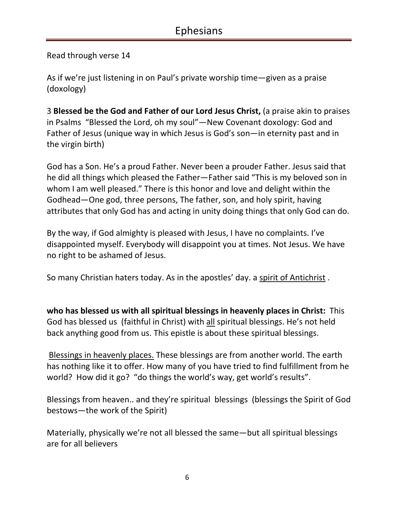Read through verse 14

As if we're just listening in on Paul's private worship time—given as a praise (doxology)

3 **Blessed be the God and Father of our Lord Jesus Christ,** (a praise akin to praises in Psalms "Blessed the Lord, oh my soul"—New Covenant doxology: God and Father of Jesus (unique way in which Jesus is God's son—in eternity past and in the virgin birth)

God has a Son. He's a proud Father. Never been a prouder Father. Jesus said that he did all things which pleased the Father—Father said "This is my beloved son in whom I am well pleased." There is this honor and love and delight within the Godhead—One god, three persons, The father, son, and holy spirit, having attributes that only God has and acting in unity doing things that only God can do.

By the way, if God almighty is pleased with Jesus, I have no complaints. I've disappointed myself. Everybody will disappoint you at times. Not Jesus. We have no right to be ashamed of Jesus.

So many Christian haters today. As in the apostles' day. a spirit of Antichrist .

**who has blessed us with all spiritual blessings in heavenly places in Christ:** This God has blessed us (faithful in Christ) with all spiritual blessings. He's not held back anything good from us. This epistle is about these spiritual blessings.

 Blessings in heavenly places. These blessings are from another world. The earth has nothing like it to offer. How many of you have tried to find fulfillment from he world? How did it go? "do things the world's way, get world's results".

Blessings from heaven.. and they're spiritual blessings (blessings the Spirit of God bestows—the work of the Spirit)

Materially, physically we're not all blessed the same—but all spiritual blessings are for all believers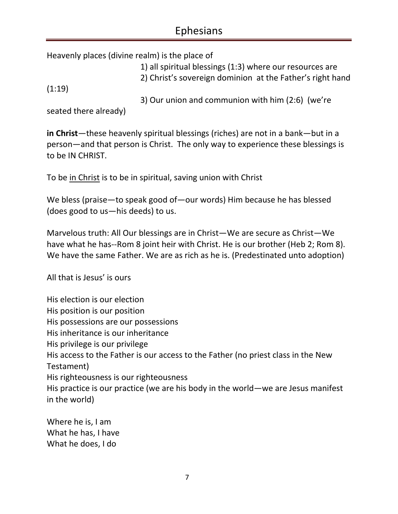Heavenly places (divine realm) is the place of

1) all spiritual blessings (1:3) where our resources are 2) Christ's sovereign dominion at the Father's right hand

(1:19)

3) Our union and communion with him (2:6) (we're

seated there already)

**in Christ**—these heavenly spiritual blessings (riches) are not in a bank—but in a person—and that person is Christ. The only way to experience these blessings is to be IN CHRIST.

To be in Christ is to be in spiritual, saving union with Christ

We bless (praise—to speak good of—our words) Him because he has blessed (does good to us—his deeds) to us.

Marvelous truth: All Our blessings are in Christ—We are secure as Christ—We have what he has--Rom 8 joint heir with Christ. He is our brother (Heb 2; Rom 8). We have the same Father. We are as rich as he is. (Predestinated unto adoption)

All that is Jesus' is ours

His election is our election His position is our position His possessions are our possessions His inheritance is our inheritance His privilege is our privilege His access to the Father is our access to the Father (no priest class in the New Testament) His righteousness is our righteousness His practice is our practice (we are his body in the world—we are Jesus manifest in the world)

Where he is, I am What he has, I have What he does, I do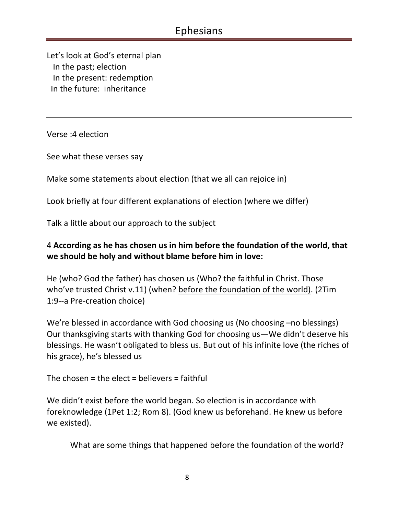Let's look at God's eternal plan In the past; election In the present: redemption In the future: inheritance

Verse :4 election

See what these verses say

Make some statements about election (that we all can rejoice in)

Look briefly at four different explanations of election (where we differ)

Talk a little about our approach to the subject

### 4 **According as he has chosen us in him before the foundation of the world, that we should be holy and without blame before him in love:**

He (who? God the father) has chosen us (Who? the faithful in Christ. Those who've trusted Christ v.11) (when? before the foundation of the world). (2Tim 1:9--a Pre-creation choice)

We're blessed in accordance with God choosing us (No choosing –no blessings) Our thanksgiving starts with thanking God for choosing us—We didn't deserve his blessings. He wasn't obligated to bless us. But out of his infinite love (the riches of his grace), he's blessed us

The chosen = the elect = believers = faithful

We didn't exist before the world began. So election is in accordance with foreknowledge (1Pet 1:2; Rom 8). (God knew us beforehand. He knew us before we existed).

What are some things that happened before the foundation of the world?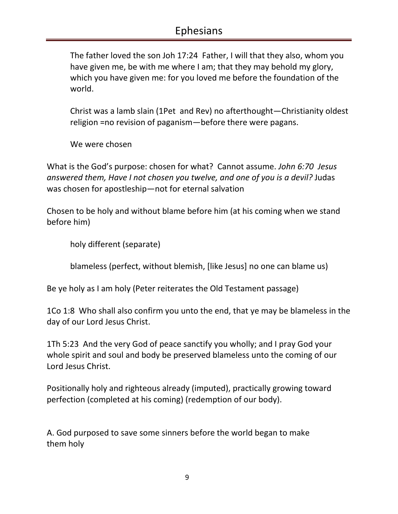The father loved the son Joh 17:24 Father, I will that they also, whom you have given me, be with me where I am; that they may behold my glory, which you have given me: for you loved me before the foundation of the world.

Christ was a lamb slain (1Pet and Rev) no afterthought—Christianity oldest religion =no revision of paganism—before there were pagans.

We were chosen

What is the God's purpose: chosen for what? Cannot assume. *John 6:70 Jesus answered them, Have I not chosen you twelve, and one of you is a devil?* Judas was chosen for apostleship—not for eternal salvation

Chosen to be holy and without blame before him (at his coming when we stand before him)

holy different (separate)

blameless (perfect, without blemish, [like Jesus] no one can blame us)

Be ye holy as I am holy (Peter reiterates the Old Testament passage)

1Co 1:8 Who shall also confirm you unto the end, that ye may be blameless in the day of our Lord Jesus Christ.

1Th 5:23 And the very God of peace sanctify you wholly; and I pray God your whole spirit and soul and body be preserved blameless unto the coming of our Lord Jesus Christ.

Positionally holy and righteous already (imputed), practically growing toward perfection (completed at his coming) (redemption of our body).

A. God purposed to save some sinners before the world began to make them holy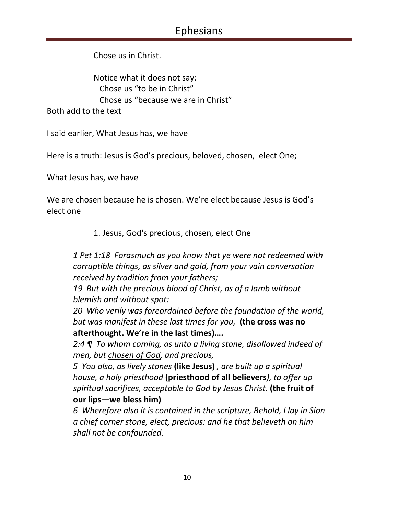Chose us in Christ.

Notice what it does not say: Chose us "to be in Christ" Chose us "because we are in Christ"

Both add to the text

I said earlier, What Jesus has, we have

Here is a truth: Jesus is God's precious, beloved, chosen, elect One;

What Jesus has, we have

We are chosen because he is chosen. We're elect because Jesus is God's elect one

1. Jesus, God's precious, chosen, elect One

*1 Pet 1:18 Forasmuch as you know that ye were not redeemed with corruptible things, as silver and gold, from your vain conversation received by tradition from your fathers;* 

*19 But with the precious blood of Christ, as of a lamb without blemish and without spot:* 

*20 Who verily was foreordained before the foundation of the world, but was manifest in these last times for you,* **(the cross was no afterthought. We're in the last times)….** 

*2:4 ¶ To whom coming, as unto a living stone, disallowed indeed of men, but chosen of God, and precious,* 

*5 You also, as lively stones* **(like Jesus)** *, are built up a spiritual house, a holy priesthood* **(priesthood of all believers***), to offer up spiritual sacrifices, acceptable to God by Jesus Christ.* **(the fruit of our lips—we bless him)** 

*6 Wherefore also it is contained in the scripture, Behold, I lay in Sion a chief corner stone, elect, precious: and he that believeth on him shall not be confounded.*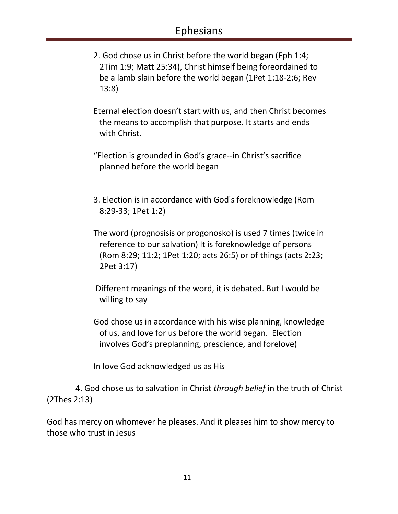- 2. God chose us in Christ before the world began (Eph 1:4; 2Tim 1:9; Matt 25:34), Christ himself being foreordained to be a lamb slain before the world began (1Pet 1:18-2:6; Rev 13:8)
- Eternal election doesn't start with us, and then Christ becomes the means to accomplish that purpose. It starts and ends with Christ.
- "Election is grounded in God's grace--in Christ's sacrifice planned before the world began
- 3. Election is in accordance with God's foreknowledge (Rom 8:29-33; 1Pet 1:2)
- The word (prognosisis or progonosko) is used 7 times (twice in reference to our salvation) It is foreknowledge of persons (Rom 8:29; 11:2; 1Pet 1:20; acts 26:5) or of things (acts 2:23; 2Pet 3:17)
- Different meanings of the word, it is debated. But I would be willing to say
- God chose us in accordance with his wise planning, knowledge of us, and love for us before the world began. Election involves God's preplanning, prescience, and forelove)

In love God acknowledged us as His

 4. God chose us to salvation in Christ *through belief* in the truth of Christ (2Thes 2:13)

God has mercy on whomever he pleases. And it pleases him to show mercy to those who trust in Jesus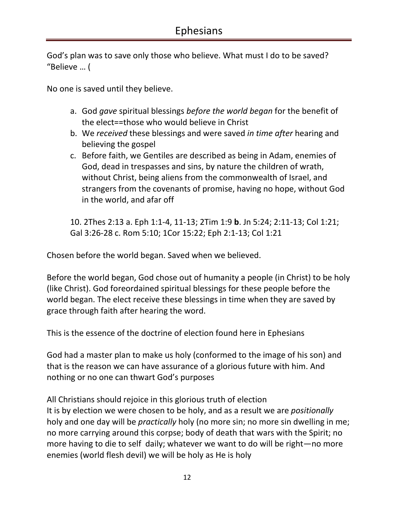God's plan was to save only those who believe. What must I do to be saved? "Believe … (

No one is saved until they believe.

- a. God *gave* spiritual blessings *before the world began* for the benefit of the elect==those who would believe in Christ
- b. We *received* these blessings and were saved *in time after* hearing and believing the gospel
- c. Before faith, we Gentiles are described as being in Adam, enemies of God, dead in trespasses and sins, by nature the children of wrath, without Christ, being aliens from the commonwealth of Israel, and strangers from the covenants of promise, having no hope, without God in the world, and afar off

10. 2Thes 2:13 a. Eph 1:1-4, 11-13; 2Tim 1:9 **b**. Jn 5:24; 2:11-13; Col 1:21; Gal 3:26-28 c. Rom 5:10; 1Cor 15:22; Eph 2:1-13; Col 1:21

Chosen before the world began. Saved when we believed.

Before the world began, God chose out of humanity a people (in Christ) to be holy (like Christ). God foreordained spiritual blessings for these people before the world began. The elect receive these blessings in time when they are saved by grace through faith after hearing the word.

This is the essence of the doctrine of election found here in Ephesians

God had a master plan to make us holy (conformed to the image of his son) and that is the reason we can have assurance of a glorious future with him. And nothing or no one can thwart God's purposes

All Christians should rejoice in this glorious truth of election It is by election we were chosen to be holy, and as a result we are *positionally* holy and one day will be *practically* holy (no more sin; no more sin dwelling in me; no more carrying around this corpse; body of death that wars with the Spirit; no more having to die to self daily; whatever we want to do will be right—no more enemies (world flesh devil) we will be holy as He is holy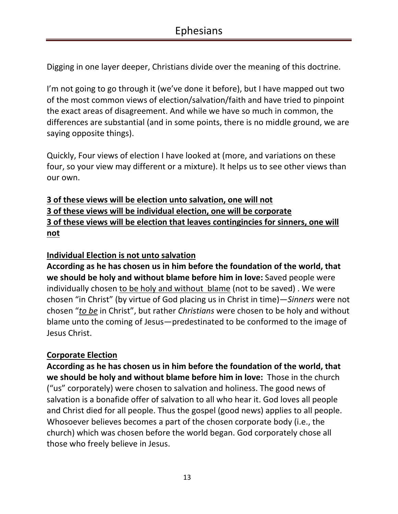Digging in one layer deeper, Christians divide over the meaning of this doctrine.

I'm not going to go through it (we've done it before), but I have mapped out two of the most common views of election/salvation/faith and have tried to pinpoint the exact areas of disagreement. And while we have so much in common, the differences are substantial (and in some points, there is no middle ground, we are saying opposite things).

Quickly, Four views of election I have looked at (more, and variations on these four, so your view may different or a mixture). It helps us to see other views than our own.

### **3 of these views will be election unto salvation, one will not 3 of these views will be individual election, one will be corporate 3 of these views will be election that leaves contingincies for sinners, one will not**

### **Individual Election is not unto salvation**

**According as he has chosen us in him before the foundation of the world, that we should be holy and without blame before him in love:** Saved people were individually chosen to be holy and without blame (not to be saved) . We were chosen "in Christ" (by virtue of God placing us in Christ in time)—*Sinners* were not chosen "*to be* in Christ", but rather *Christians* were chosen to be holy and without blame unto the coming of Jesus—predestinated to be conformed to the image of Jesus Christ.

### **Corporate Election**

**According as he has chosen us in him before the foundation of the world, that we should be holy and without blame before him in love:** Those in the church ("us" corporately) were chosen to salvation and holiness. The good news of salvation is a bonafide offer of salvation to all who hear it. God loves all people and Christ died for all people. Thus the gospel (good news) applies to all people. Whosoever believes becomes a part of the chosen corporate body (i.e., the church) which was chosen before the world began. God corporately chose all those who freely believe in Jesus.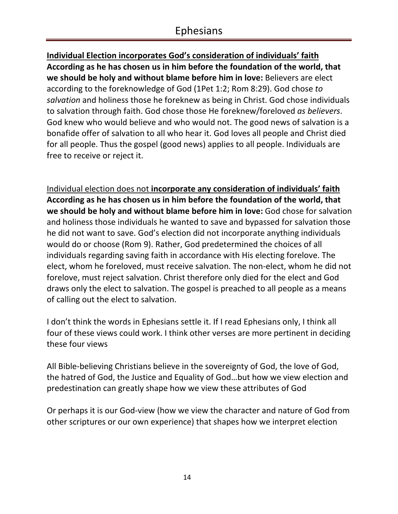**Individual Election incorporates God's consideration of individuals' faith According as he has chosen us in him before the foundation of the world, that we should be holy and without blame before him in love:** Believers are elect according to the foreknowledge of God (1Pet 1:2; Rom 8:29). God chose *to salvation* and holiness those he foreknew as being in Christ. God chose individuals to salvation through faith. God chose those He foreknew/foreloved *as believers*. God knew who would believe and who would not. The good news of salvation is a bonafide offer of salvation to all who hear it. God loves all people and Christ died for all people. Thus the gospel (good news) applies to all people. Individuals are free to receive or reject it.

Individual election does not **incorporate any consideration of individuals' faith According as he has chosen us in him before the foundation of the world, that we should be holy and without blame before him in love:** God chose for salvation and holiness those individuals he wanted to save and bypassed for salvation those he did not want to save. God's election did not incorporate anything individuals would do or choose (Rom 9). Rather, God predetermined the choices of all individuals regarding saving faith in accordance with His electing forelove. The elect, whom he foreloved, must receive salvation. The non-elect, whom he did not forelove, must reject salvation. Christ therefore only died for the elect and God draws only the elect to salvation. The gospel is preached to all people as a means of calling out the elect to salvation.

I don't think the words in Ephesians settle it. If I read Ephesians only, I think all four of these views could work. I think other verses are more pertinent in deciding these four views

All Bible-believing Christians believe in the sovereignty of God, the love of God, the hatred of God, the Justice and Equality of God…but how we view election and predestination can greatly shape how we view these attributes of God

Or perhaps it is our God-view (how we view the character and nature of God from other scriptures or our own experience) that shapes how we interpret election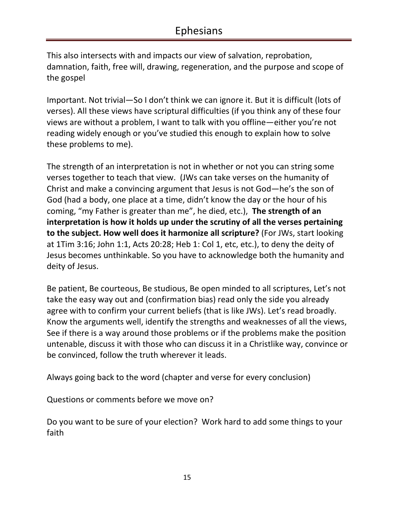This also intersects with and impacts our view of salvation, reprobation, damnation, faith, free will, drawing, regeneration, and the purpose and scope of the gospel

Important. Not trivial—So I don't think we can ignore it. But it is difficult (lots of verses). All these views have scriptural difficulties (if you think any of these four views are without a problem, I want to talk with you offline—either you're not reading widely enough or you've studied this enough to explain how to solve these problems to me).

The strength of an interpretation is not in whether or not you can string some verses together to teach that view. (JWs can take verses on the humanity of Christ and make a convincing argument that Jesus is not God—he's the son of God (had a body, one place at a time, didn't know the day or the hour of his coming, "my Father is greater than me", he died, etc.), **The strength of an interpretation is how it holds up under the scrutiny of all the verses pertaining to the subject. How well does it harmonize all scripture?** (For JWs, start looking at 1Tim 3:16; John 1:1, Acts 20:28; Heb 1: Col 1, etc, etc.), to deny the deity of Jesus becomes unthinkable. So you have to acknowledge both the humanity and deity of Jesus.

Be patient, Be courteous, Be studious, Be open minded to all scriptures, Let's not take the easy way out and (confirmation bias) read only the side you already agree with to confirm your current beliefs (that is like JWs). Let's read broadly. Know the arguments well, identify the strengths and weaknesses of all the views, See if there is a way around those problems or if the problems make the position untenable, discuss it with those who can discuss it in a Christlike way, convince or be convinced, follow the truth wherever it leads.

Always going back to the word (chapter and verse for every conclusion)

Questions or comments before we move on?

Do you want to be sure of your election? Work hard to add some things to your faith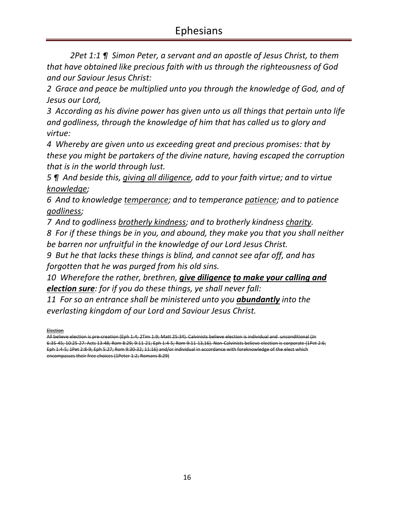*2Pet 1:1 ¶ Simon Peter, a servant and an apostle of Jesus Christ, to them that have obtained like precious faith with us through the righteousness of God and our Saviour Jesus Christ:* 

*2 Grace and peace be multiplied unto you through the knowledge of God, and of Jesus our Lord,* 

*3 According as his divine power has given unto us all things that pertain unto life and godliness, through the knowledge of him that has called us to glory and virtue:* 

*4 Whereby are given unto us exceeding great and precious promises: that by these you might be partakers of the divine nature, having escaped the corruption that is in the world through lust.* 

*5 ¶ And beside this, giving all diligence, add to your faith virtue; and to virtue knowledge;* 

*6 And to knowledge temperance; and to temperance patience; and to patience godliness;* 

*7 And to godliness brotherly kindness; and to brotherly kindness charity.* 

*8 For if these things be in you, and abound, they make you that you shall neither be barren nor unfruitful in the knowledge of our Lord Jesus Christ.* 

*9 But he that lacks these things is blind, and cannot see afar off, and has forgotten that he was purged from his old sins.* 

*10 Wherefore the rather, brethren, give diligence to make your calling and election sure: for if you do these things, ye shall never fall:* 

*11 For so an entrance shall be ministered unto you abundantly into the everlasting kingdom of our Lord and Saviour Jesus Christ.* 

**Election** 

All believe election is pre-creation (Eph 1:4; 2Tim 1:9; Matt 25:34). Calvinists believe election is individual and unconditional (Jn 6:35-45; 10:25-27: Acts 13:48; Rom 8:29; 9:11-21; Eph 1:4-5; Rom 9:11-13,16). Non-Calvinists believe election is corporate (1Pet 2:6; Eph 1:4-5; 1Pet 2:8-9; Eph 5:27; Rom 9:30-32; 11:16) and/or individual in accordance with foreknowledge of the elect which encompasses their free choices (1Peter 1:2; Romans 8:29)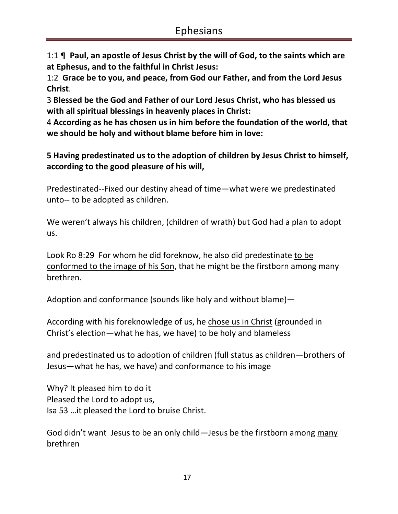1:1 ¶ **Paul, an apostle of Jesus Christ by the will of God, to the saints which are at Ephesus, and to the faithful in Christ Jesus:**

1:2 **Grace be to you, and peace, from God our Father, and from the Lord Jesus Christ**.

3 **Blessed be the God and Father of our Lord Jesus Christ, who has blessed us with all spiritual blessings in heavenly places in Christ:**

4 **According as he has chosen us in him before the foundation of the world, that we should be holy and without blame before him in love:**

**5 Having predestinated us to the adoption of children by Jesus Christ to himself, according to the good pleasure of his will,** 

Predestinated--Fixed our destiny ahead of time—what were we predestinated unto-- to be adopted as children.

We weren't always his children, (children of wrath) but God had a plan to adopt us.

Look Ro 8:29 For whom he did foreknow, he also did predestinate to be conformed to the image of his Son, that he might be the firstborn among many brethren.

Adoption and conformance (sounds like holy and without blame)—

According with his foreknowledge of us, he chose us in Christ (grounded in Christ's election—what he has, we have) to be holy and blameless

and predestinated us to adoption of children (full status as children—brothers of Jesus—what he has, we have) and conformance to his image

Why? It pleased him to do it Pleased the Lord to adopt us, Isa 53 …it pleased the Lord to bruise Christ.

God didn't want Jesus to be an only child—Jesus be the firstborn among many brethren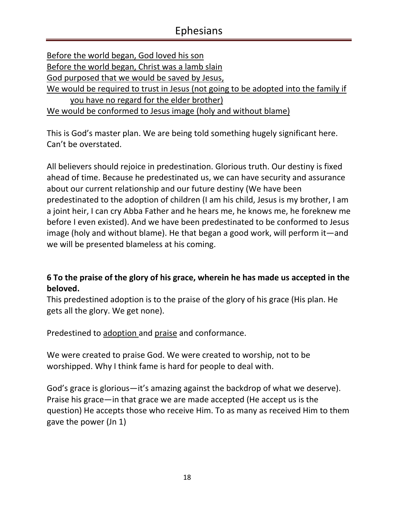| Before the world began, God loved his son                                          |
|------------------------------------------------------------------------------------|
| Before the world began, Christ was a lamb slain                                    |
| God purposed that we would be saved by Jesus,                                      |
| We would be required to trust in Jesus (not going to be adopted into the family if |
| you have no regard for the elder brother)                                          |
| We would be conformed to Jesus image (holy and without blame)                      |

This is God's master plan. We are being told something hugely significant here. Can't be overstated.

All believers should rejoice in predestination. Glorious truth. Our destiny is fixed ahead of time. Because he predestinated us, we can have security and assurance about our current relationship and our future destiny (We have been predestinated to the adoption of children (I am his child, Jesus is my brother, I am a joint heir, I can cry Abba Father and he hears me, he knows me, he foreknew me before I even existed). And we have been predestinated to be conformed to Jesus image (holy and without blame). He that began a good work, will perform it—and we will be presented blameless at his coming.

### **6 To the praise of the glory of his grace, wherein he has made us accepted in the beloved.**

This predestined adoption is to the praise of the glory of his grace (His plan. He gets all the glory. We get none).

Predestined to adoption and praise and conformance.

We were created to praise God. We were created to worship, not to be worshipped. Why I think fame is hard for people to deal with.

God's grace is glorious—it's amazing against the backdrop of what we deserve). Praise his grace—in that grace we are made accepted (He accept us is the question) He accepts those who receive Him. To as many as received Him to them gave the power (Jn 1)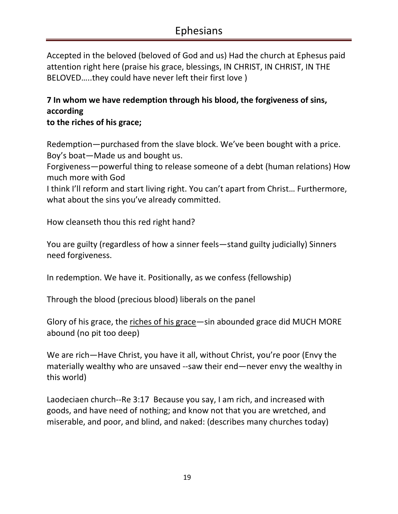Accepted in the beloved (beloved of God and us) Had the church at Ephesus paid attention right here (praise his grace, blessings, IN CHRIST, IN CHRIST, IN THE BELOVED…..they could have never left their first love )

## **7 In whom we have redemption through his blood, the forgiveness of sins, according**

**to the riches of his grace;** 

Redemption—purchased from the slave block. We've been bought with a price. Boy's boat—Made us and bought us.

Forgiveness—powerful thing to release someone of a debt (human relations) How much more with God

I think I'll reform and start living right. You can't apart from Christ… Furthermore, what about the sins you've already committed.

How cleanseth thou this red right hand?

You are guilty (regardless of how a sinner feels—stand guilty judicially) Sinners need forgiveness.

In redemption. We have it. Positionally, as we confess (fellowship)

Through the blood (precious blood) liberals on the panel

Glory of his grace, the riches of his grace—sin abounded grace did MUCH MORE abound (no pit too deep)

We are rich—Have Christ, you have it all, without Christ, you're poor (Envy the materially wealthy who are unsaved --saw their end—never envy the wealthy in this world)

Laodeciaen church--Re 3:17 Because you say, I am rich, and increased with goods, and have need of nothing; and know not that you are wretched, and miserable, and poor, and blind, and naked: (describes many churches today)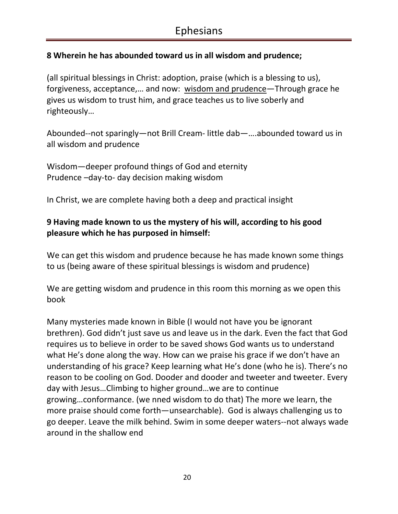### **8 Wherein he has abounded toward us in all wisdom and prudence;**

(all spiritual blessings in Christ: adoption, praise (which is a blessing to us), forgiveness, acceptance,… and now: wisdom and prudence—Through grace he gives us wisdom to trust him, and grace teaches us to live soberly and righteously…

Abounded--not sparingly—not Brill Cream- little dab—….abounded toward us in all wisdom and prudence

Wisdom—deeper profound things of God and eternity Prudence –day-to- day decision making wisdom

In Christ, we are complete having both a deep and practical insight

### **9 Having made known to us the mystery of his will, according to his good pleasure which he has purposed in himself:**

We can get this wisdom and prudence because he has made known some things to us (being aware of these spiritual blessings is wisdom and prudence)

We are getting wisdom and prudence in this room this morning as we open this book

Many mysteries made known in Bible (I would not have you be ignorant brethren). God didn't just save us and leave us in the dark. Even the fact that God requires us to believe in order to be saved shows God wants us to understand what He's done along the way. How can we praise his grace if we don't have an understanding of his grace? Keep learning what He's done (who he is). There's no reason to be cooling on God. Dooder and dooder and tweeter and tweeter. Every day with Jesus…Climbing to higher ground…we are to continue growing…conformance. (we nned wisdom to do that) The more we learn, the more praise should come forth—unsearchable). God is always challenging us to go deeper. Leave the milk behind. Swim in some deeper waters--not always wade around in the shallow end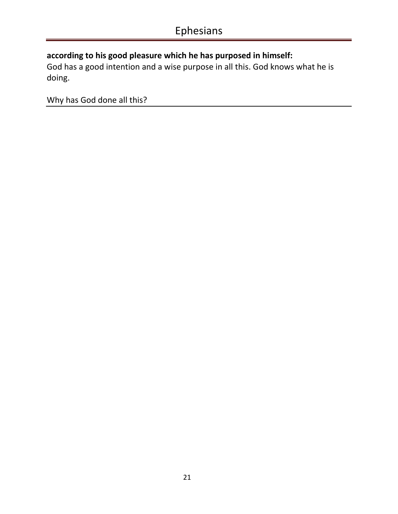### **according to his good pleasure which he has purposed in himself:**

God has a good intention and a wise purpose in all this. God knows what he is doing.

Why has God done all this?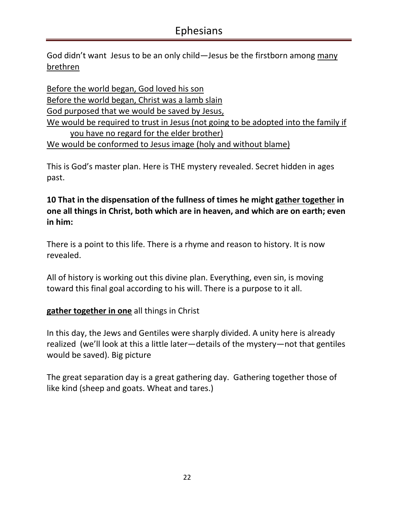God didn't want Jesus to be an only child—Jesus be the firstborn among many brethren

Before the world began, God loved his son Before the world began, Christ was a lamb slain God purposed that we would be saved by Jesus, We would be required to trust in Jesus (not going to be adopted into the family if you have no regard for the elder brother) We would be conformed to Jesus image (holy and without blame)

This is God's master plan. Here is THE mystery revealed. Secret hidden in ages past.

**10 That in the dispensation of the fullness of times he might gather together in one all things in Christ, both which are in heaven, and which are on earth; even in him:** 

There is a point to this life. There is a rhyme and reason to history. It is now revealed.

All of history is working out this divine plan. Everything, even sin, is moving toward this final goal according to his will. There is a purpose to it all.

**gather together in one** all things in Christ

In this day, the Jews and Gentiles were sharply divided. A unity here is already realized (we'll look at this a little later—details of the mystery—not that gentiles would be saved). Big picture

The great separation day is a great gathering day. Gathering together those of like kind (sheep and goats. Wheat and tares.)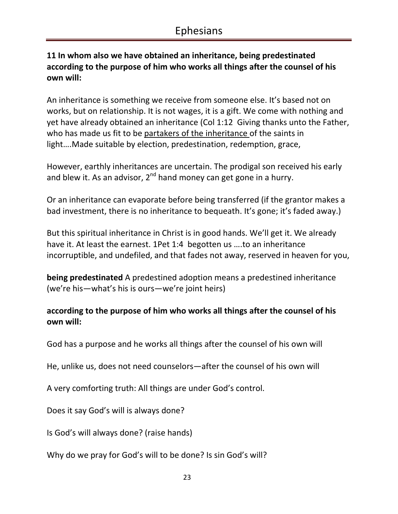### **11 In whom also we have obtained an inheritance, being predestinated according to the purpose of him who works all things after the counsel of his own will:**

An inheritance is something we receive from someone else. It's based not on works, but on relationship. It is not wages, it is a gift. We come with nothing and yet have already obtained an inheritance (Col 1:12 Giving thanks unto the Father, who has made us fit to be partakers of the inheritance of the saints in light….Made suitable by election, predestination, redemption, grace,

However, earthly inheritances are uncertain. The prodigal son received his early and blew it. As an advisor,  $2^{nd}$  hand money can get gone in a hurry.

Or an inheritance can evaporate before being transferred (if the grantor makes a bad investment, there is no inheritance to bequeath. It's gone; it's faded away.)

But this spiritual inheritance in Christ is in good hands. We'll get it. We already have it. At least the earnest. 1Pet 1:4 begotten us ….to an inheritance incorruptible, and undefiled, and that fades not away, reserved in heaven for you,

**being predestinated** A predestined adoption means a predestined inheritance (we're his—what's his is ours—we're joint heirs)

### **according to the purpose of him who works all things after the counsel of his own will:**

God has a purpose and he works all things after the counsel of his own will

He, unlike us, does not need counselors—after the counsel of his own will

A very comforting truth: All things are under God's control.

Does it say God's will is always done?

Is God's will always done? (raise hands)

Why do we pray for God's will to be done? Is sin God's will?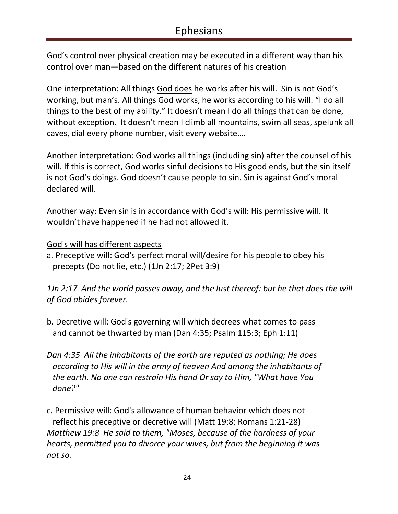God's control over physical creation may be executed in a different way than his control over man—based on the different natures of his creation

One interpretation: All things God does he works after his will. Sin is not God's working, but man's. All things God works, he works according to his will. "I do all things to the best of my ability." It doesn't mean I do all things that can be done, without exception. It doesn't mean I climb all mountains, swim all seas, spelunk all caves, dial every phone number, visit every website….

Another interpretation: God works all things (including sin) after the counsel of his will. If this is correct, God works sinful decisions to His good ends, but the sin itself is not God's doings. God doesn't cause people to sin. Sin is against God's moral declared will.

Another way: Even sin is in accordance with God's will: His permissive will. It wouldn't have happened if he had not allowed it.

God's will has different aspects

a. Preceptive will: God's perfect moral will/desire for his people to obey his precepts (Do not lie, etc.) (1Jn 2:17; 2Pet 3:9)

*1Jn 2:17 And the world passes away, and the lust thereof: but he that does the will of God abides forever.* 

- b. Decretive will: God's governing will which decrees what comes to pass and cannot be thwarted by man (Dan 4:35; Psalm 115:3; Eph 1:11)
- *Dan 4:35 All the inhabitants of the earth are reputed as nothing; He does according to His will in the army of heaven And among the inhabitants of the earth. No one can restrain His hand Or say to Him, "What have You done?"*
- c. Permissive will: God's allowance of human behavior which does not reflect his preceptive or decretive will (Matt 19:8; Romans 1:21-28) *Matthew 19:8 He said to them, "Moses, because of the hardness of your hearts, permitted you to divorce your wives, but from the beginning it was not so.*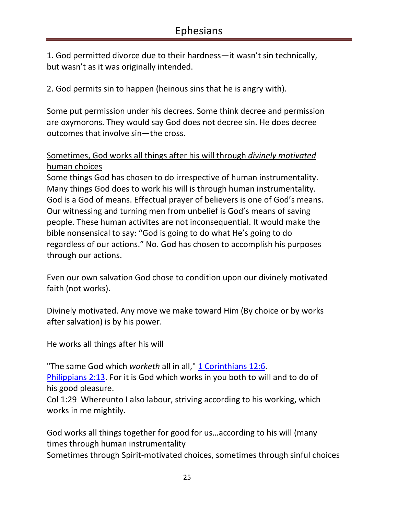1. God permitted divorce due to their hardness—it wasn't sin technically, but wasn't as it was originally intended.

2. God permits sin to happen (heinous sins that he is angry with).

Some put permission under his decrees. Some think decree and permission are oxymorons. They would say God does not decree sin. He does decree outcomes that involve sin—the cross.

### Sometimes, God works all things after his will through *divinely motivated*  human choices

Some things God has chosen to do irrespective of human instrumentality. Many things God does to work his will is through human instrumentality. God is a God of means. Effectual prayer of believers is one of God's means. Our witnessing and turning men from unbelief is God's means of saving people. These human activites are not inconsequential. It would make the bible nonsensical to say: "God is going to do what He's going to do regardless of our actions." No. God has chosen to accomplish his purposes through our actions.

Even our own salvation God chose to condition upon our divinely motivated faith (not works).

Divinely motivated. Any move we make toward Him (By choice or by works after salvation) is by his power.

He works all things after his will

"The same God which *worketh* all in all," 1 Corinthians 12:6. Philippians 2:13. For it is God which works in you both to will and to do of his good pleasure.

Col 1:29 Whereunto I also labour, striving according to his working, which works in me mightily.

God works all things together for good for us…according to his will (many times through human instrumentality

Sometimes through Spirit-motivated choices, sometimes through sinful choices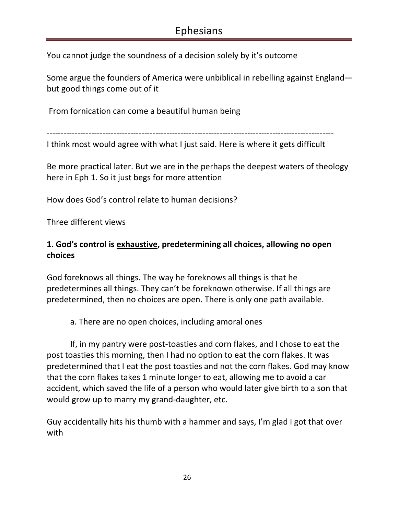You cannot judge the soundness of a decision solely by it's outcome

Some argue the founders of America were unbiblical in rebelling against England but good things come out of it

From fornication can come a beautiful human being

-------------------------------------------------------------------------------------------------------

I think most would agree with what I just said. Here is where it gets difficult

Be more practical later. But we are in the perhaps the deepest waters of theology here in Eph 1. So it just begs for more attention

How does God's control relate to human decisions?

Three different views

### **1. God's control is exhaustive, predetermining all choices, allowing no open choices**

God foreknows all things. The way he foreknows all things is that he predetermines all things. They can't be foreknown otherwise. If all things are predetermined, then no choices are open. There is only one path available.

a. There are no open choices, including amoral ones

If, in my pantry were post-toasties and corn flakes, and I chose to eat the post toasties this morning, then I had no option to eat the corn flakes. It was predetermined that I eat the post toasties and not the corn flakes. God may know that the corn flakes takes 1 minute longer to eat, allowing me to avoid a car accident, which saved the life of a person who would later give birth to a son that would grow up to marry my grand-daughter, etc.

Guy accidentally hits his thumb with a hammer and says, I'm glad I got that over with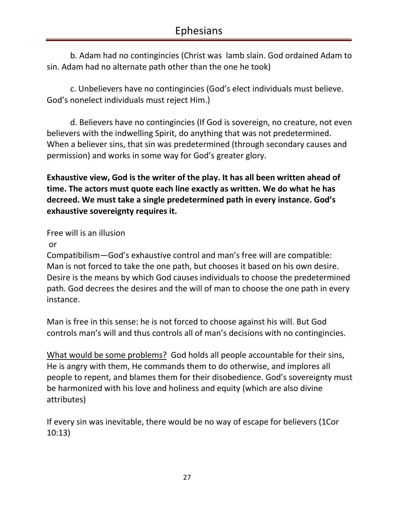b. Adam had no contingincies (Christ was lamb slain. God ordained Adam to sin. Adam had no alternate path other than the one he took)

c. Unbelievers have no contingincies (God's elect individuals must believe. God's nonelect individuals must reject Him.)

d. Believers have no contingincies (If God is sovereign, no creature, not even believers with the indwelling Spirit, do anything that was not predetermined. When a believer sins, that sin was predetermined (through secondary causes and permission) and works in some way for God's greater glory.

**Exhaustive view, God is the writer of the play. It has all been written ahead of time. The actors must quote each line exactly as written. We do what he has decreed. We must take a single predetermined path in every instance. God's exhaustive sovereignty requires it.** 

Free will is an illusion

#### or

Compatibilism—God's exhaustive control and man's free will are compatible: Man is not forced to take the one path, but chooses it based on his own desire. Desire is the means by which God causes individuals to choose the predetermined path. God decrees the desires and the will of man to choose the one path in every instance.

Man is free in this sense: he is not forced to choose against his will. But God controls man's will and thus controls all of man's decisions with no contingincies.

What would be some problems? God holds all people accountable for their sins, He is angry with them, He commands them to do otherwise, and implores all people to repent, and blames them for their disobedience. God's sovereignty must be harmonized with his love and holiness and equity (which are also divine attributes)

If every sin was inevitable, there would be no way of escape for believers (1Cor 10:13)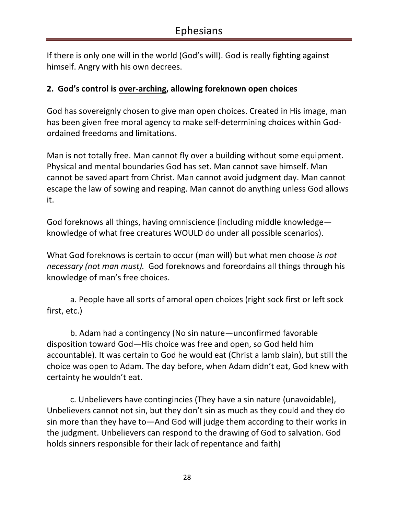If there is only one will in the world (God's will). God is really fighting against himself. Angry with his own decrees.

### **2. God's control is over-arching, allowing foreknown open choices**

God has sovereignly chosen to give man open choices. Created in His image, man has been given free moral agency to make self-determining choices within Godordained freedoms and limitations.

Man is not totally free. Man cannot fly over a building without some equipment. Physical and mental boundaries God has set. Man cannot save himself. Man cannot be saved apart from Christ. Man cannot avoid judgment day. Man cannot escape the law of sowing and reaping. Man cannot do anything unless God allows it.

God foreknows all things, having omniscience (including middle knowledge knowledge of what free creatures WOULD do under all possible scenarios).

What God foreknows is certain to occur (man will) but what men choose *is not necessary (not man must).* God foreknows and foreordains all things through his knowledge of man's free choices.

 a. People have all sorts of amoral open choices (right sock first or left sock first, etc.)

b. Adam had a contingency (No sin nature—unconfirmed favorable disposition toward God—His choice was free and open, so God held him accountable). It was certain to God he would eat (Christ a lamb slain), but still the choice was open to Adam. The day before, when Adam didn't eat, God knew with certainty he wouldn't eat.

c. Unbelievers have contingincies (They have a sin nature (unavoidable), Unbelievers cannot not sin, but they don't sin as much as they could and they do sin more than they have to—And God will judge them according to their works in the judgment. Unbelievers can respond to the drawing of God to salvation. God holds sinners responsible for their lack of repentance and faith)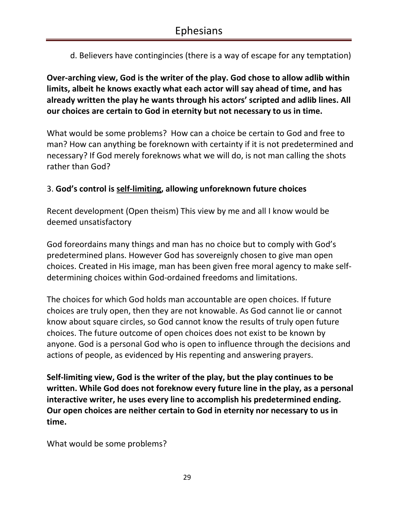d. Believers have contingincies (there is a way of escape for any temptation)

**Over-arching view, God is the writer of the play. God chose to allow adlib within limits, albeit he knows exactly what each actor will say ahead of time, and has already written the play he wants through his actors' scripted and adlib lines. All our choices are certain to God in eternity but not necessary to us in time.** 

What would be some problems? How can a choice be certain to God and free to man? How can anything be foreknown with certainty if it is not predetermined and necessary? If God merely foreknows what we will do, is not man calling the shots rather than God?

### 3. **God's control is self-limiting, allowing unforeknown future choices**

Recent development (Open theism) This view by me and all I know would be deemed unsatisfactory

God foreordains many things and man has no choice but to comply with God's predetermined plans. However God has sovereignly chosen to give man open choices. Created in His image, man has been given free moral agency to make selfdetermining choices within God-ordained freedoms and limitations.

The choices for which God holds man accountable are open choices. If future choices are truly open, then they are not knowable. As God cannot lie or cannot know about square circles, so God cannot know the results of truly open future choices. The future outcome of open choices does not exist to be known by anyone. God is a personal God who is open to influence through the decisions and actions of people, as evidenced by His repenting and answering prayers.

**Self-limiting view, God is the writer of the play, but the play continues to be written. While God does not foreknow every future line in the play, as a personal interactive writer, he uses every line to accomplish his predetermined ending. Our open choices are neither certain to God in eternity nor necessary to us in time.** 

What would be some problems?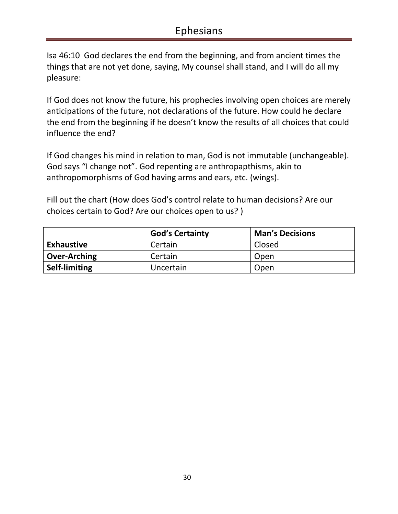Isa 46:10 God declares the end from the beginning, and from ancient times the things that are not yet done, saying, My counsel shall stand, and I will do all my pleasure:

If God does not know the future, his prophecies involving open choices are merely anticipations of the future, not declarations of the future. How could he declare the end from the beginning if he doesn't know the results of all choices that could influence the end?

If God changes his mind in relation to man, God is not immutable (unchangeable). God says "I change not". God repenting are anthropapthisms, akin to anthropomorphisms of God having arms and ears, etc. (wings).

Fill out the chart (How does God's control relate to human decisions? Are our choices certain to God? Are our choices open to us? )

|                      | <b>God's Certainty</b> | <b>Man's Decisions</b> |
|----------------------|------------------------|------------------------|
| <b>Exhaustive</b>    | Certain                | Closed                 |
| <b>Over-Arching</b>  | Certain                | Open                   |
| <b>Self-limiting</b> | Uncertain              | Open                   |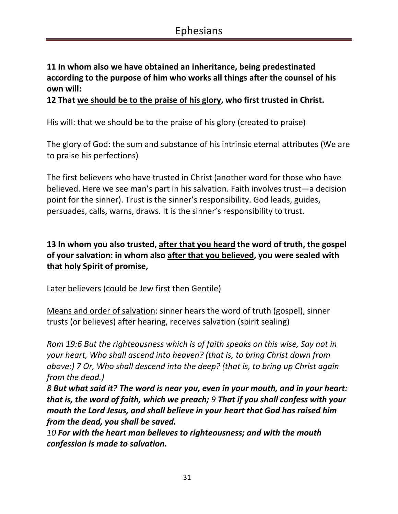### **11 In whom also we have obtained an inheritance, being predestinated according to the purpose of him who works all things after the counsel of his own will:**

**12 That we should be to the praise of his glory, who first trusted in Christ.** 

His will: that we should be to the praise of his glory (created to praise)

The glory of God: the sum and substance of his intrinsic eternal attributes (We are to praise his perfections)

The first believers who have trusted in Christ (another word for those who have believed. Here we see man's part in his salvation. Faith involves trust—a decision point for the sinner). Trust is the sinner's responsibility. God leads, guides, persuades, calls, warns, draws. It is the sinner's responsibility to trust.

### **13 In whom you also trusted, after that you heard the word of truth, the gospel of your salvation: in whom also after that you believed, you were sealed with that holy Spirit of promise,**

Later believers (could be Jew first then Gentile)

Means and order of salvation: sinner hears the word of truth (gospel), sinner trusts (or believes) after hearing, receives salvation (spirit sealing)

*Rom 19:6 But the righteousness which is of faith speaks on this wise, Say not in your heart, Who shall ascend into heaven? (that is, to bring Christ down from above:) 7 Or, Who shall descend into the deep? (that is, to bring up Christ again from the dead.)* 

*8 But what said it? The word is near you, even in your mouth, and in your heart: that is, the word of faith, which we preach; 9 That if you shall confess with your mouth the Lord Jesus, and shall believe in your heart that God has raised him from the dead, you shall be saved.* 

*10 For with the heart man believes to righteousness; and with the mouth confession is made to salvation.*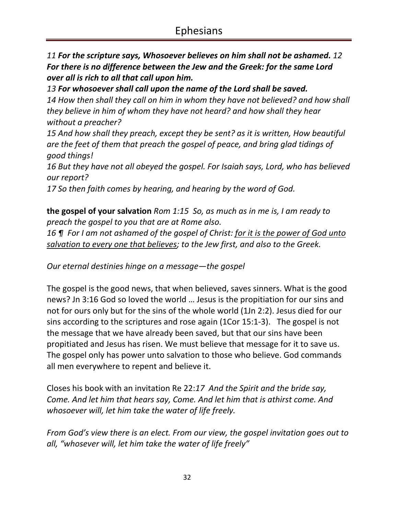*11 For the scripture says, Whosoever believes on him shall not be ashamed. 12 For there is no difference between the Jew and the Greek: for the same Lord over all is rich to all that call upon him.* 

*13 For whosoever shall call upon the name of the Lord shall be saved. 14 How then shall they call on him in whom they have not believed? and how shall they believe in him of whom they have not heard? and how shall they hear without a preacher?* 

*15 And how shall they preach, except they be sent? as it is written, How beautiful are the feet of them that preach the gospel of peace, and bring glad tidings of good things!* 

*16 But they have not all obeyed the gospel. For Isaiah says, Lord, who has believed our report?* 

*17 So then faith comes by hearing, and hearing by the word of God.* 

**the gospel of your salvation** *Rom 1:15 So, as much as in me is, I am ready to preach the gospel to you that are at Rome also.* 

*16 ¶ For I am not ashamed of the gospel of Christ: for it is the power of God unto salvation to every one that believes; to the Jew first, and also to the Greek.* 

*Our eternal destinies hinge on a message—the gospel*

The gospel is the good news, that when believed, saves sinners. What is the good news? Jn 3:16 God so loved the world … Jesus is the propitiation for our sins and not for ours only but for the sins of the whole world (1Jn 2:2). Jesus died for our sins according to the scriptures and rose again (1Cor 15:1-3). The gospel is not the message that we have already been saved, but that our sins have been propitiated and Jesus has risen. We must believe that message for it to save us. The gospel only has power unto salvation to those who believe. God commands all men everywhere to repent and believe it.

Closes his book with an invitation Re 22:*17 And the Spirit and the bride say, Come. And let him that hears say, Come. And let him that is athirst come. And whosoever will, let him take the water of life freely.* 

*From God's view there is an elect. From our view, the gospel invitation goes out to all, "whosever will, let him take the water of life freely"*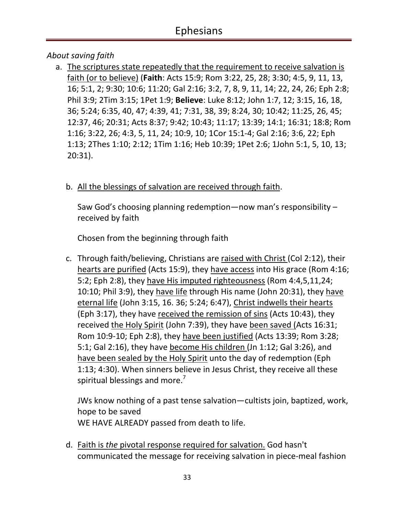### *About saving faith*

a. The scriptures state repeatedly that the requirement to receive salvation is faith (or to believe) (**Faith**: Acts 15:9; Rom 3:22, 25, 28; 3:30; 4:5, 9, 11, 13, 16; 5:1, 2; 9:30; 10:6; 11:20; Gal 2:16; 3:2, 7, 8, 9, 11, 14; 22, 24, 26; Eph 2:8; Phil 3:9; 2Tim 3:15; 1Pet 1:9; **Believe**: Luke 8:12; John 1:7, 12; 3:15, 16, 18, 36; 5:24; 6:35, 40, 47; 4:39, 41; 7:31, 38, 39; 8:24, 30; 10:42; 11:25, 26, 45; 12:37, 46; 20:31; Acts 8:37; 9:42; 10:43; 11:17; 13:39; 14:1; 16:31; 18:8; Rom 1:16; 3:22, 26; 4:3, 5, 11, 24; 10:9, 10; 1Cor 15:1-4; Gal 2:16; 3:6, 22; Eph 1:13; 2Thes 1:10; 2:12; 1Tim 1:16; Heb 10:39; 1Pet 2:6; 1John 5:1, 5, 10, 13; 20:31).

### b. All the blessings of salvation are received through faith.

Saw God's choosing planning redemption—now man's responsibility – received by faith

Chosen from the beginning through faith

c. Through faith/believing, Christians are raised with Christ (Col 2:12), their hearts are purified (Acts 15:9), they have access into His grace (Rom 4:16; 5:2; Eph 2:8), they have His imputed righteousness (Rom 4:4,5,11,24; 10:10; Phil 3:9), they have life through His name (John 20:31), they have eternal life (John 3:15, 16. 36; 5:24; 6:47), Christ indwells their hearts (Eph 3:17), they have received the remission of sins (Acts 10:43), they received the Holy Spirit (John 7:39), they have been saved (Acts 16:31; Rom 10:9-10; Eph 2:8), they have been justified (Acts 13:39; Rom 3:28; 5:1; Gal 2:16), they have become His children (Jn 1:12; Gal 3:26), and have been sealed by the Holy Spirit unto the day of redemption (Eph 1:13; 4:30). When sinners believe in Jesus Christ, they receive all these spiritual blessings and more.<sup>7</sup>

JWs know nothing of a past tense salvation—cultists join, baptized, work, hope to be saved WE HAVE ALREADY passed from death to life.

d. Faith is *the* pivotal response required for salvation. God hasn't communicated the message for receiving salvation in piece-meal fashion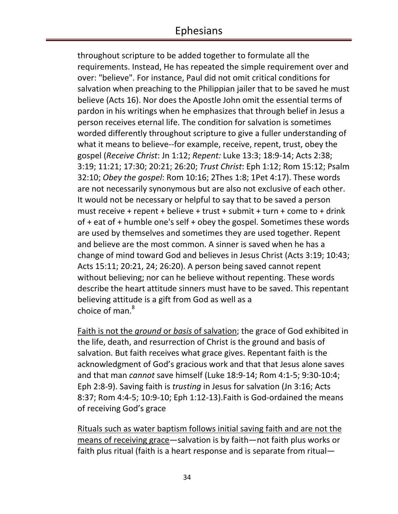throughout scripture to be added together to formulate all the requirements. Instead, He has repeated the simple requirement over and over: "believe". For instance, Paul did not omit critical conditions for salvation when preaching to the Philippian jailer that to be saved he must believe (Acts 16). Nor does the Apostle John omit the essential terms of pardon in his writings when he emphasizes that through belief in Jesus a person receives eternal life. The condition for salvation is sometimes worded differently throughout scripture to give a fuller understanding of what it means to believe--for example, receive, repent, trust, obey the gospel (*Receive Christ*: Jn 1:12; *Repent:* Luke 13:3; 18:9-14; Acts 2:38; 3:19; 11:21; 17:30; 20:21; 26:20; *Trust Christ*: Eph 1:12; Rom 15:12; Psalm 32:10; *Obey the gospel*: Rom 10:16; 2Thes 1:8; 1Pet 4:17). These words are not necessarily synonymous but are also not exclusive of each other. It would not be necessary or helpful to say that to be saved a person must receive + repent + believe + trust + submit + turn + come to + drink of + eat of + humble one's self + obey the gospel. Sometimes these words are used by themselves and sometimes they are used together. Repent and believe are the most common. A sinner is saved when he has a change of mind toward God and believes in Jesus Christ (Acts 3:19; 10:43; Acts 15:11; 20:21, 24; 26:20). A person being saved cannot repent without believing; nor can he believe without repenting. These words describe the heart attitude sinners must have to be saved. This repentant believing attitude is a gift from God as well as a choice of man. $^8$ 

Faith is not the *ground* or *basis* of salvation; the grace of God exhibited in the life, death, and resurrection of Christ is the ground and basis of salvation. But faith receives what grace gives. Repentant faith is the acknowledgment of God's gracious work and that that Jesus alone saves and that man *cannot* save himself (Luke 18:9-14; Rom 4:1-5; 9:30-10:4; Eph 2:8-9). Saving faith is *trusting* in Jesus for salvation (Jn 3:16; Acts 8:37; Rom 4:4-5; 10:9-10; Eph 1:12-13).Faith is God-ordained the means of receiving God's grace

Rituals such as water baptism follows initial saving faith and are not the means of receiving grace-salvation is by faith-not faith plus works or faith plus ritual (faith is a heart response and is separate from ritual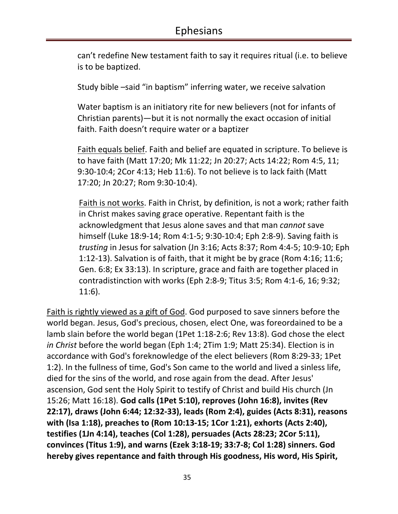can't redefine New testament faith to say it requires ritual (i.e. to believe is to be baptized.

Study bible –said "in baptism" inferring water, we receive salvation

Water baptism is an initiatory rite for new believers (not for infants of Christian parents)—but it is not normally the exact occasion of initial faith. Faith doesn't require water or a baptizer

Faith equals belief. Faith and belief are equated in scripture. To believe is to have faith (Matt 17:20; Mk 11:22; Jn 20:27; Acts 14:22; Rom 4:5, 11; 9:30-10:4; 2Cor 4:13; Heb 11:6). To not believe is to lack faith (Matt 17:20; Jn 20:27; Rom 9:30-10:4).

Faith is not works. Faith in Christ, by definition, is not a work; rather faith in Christ makes saving grace operative. Repentant faith is the acknowledgment that Jesus alone saves and that man *cannot* save himself (Luke 18:9-14; Rom 4:1-5; 9:30-10:4; Eph 2:8-9). Saving faith is *trusting* in Jesus for salvation (Jn 3:16; Acts 8:37; Rom 4:4-5; 10:9-10; Eph 1:12-13). Salvation is of faith, that it might be by grace (Rom 4:16; 11:6; Gen. 6:8; Ex 33:13). In scripture, grace and faith are together placed in contradistinction with works (Eph 2:8-9; Titus 3:5; Rom 4:1-6, 16; 9:32; 11:6).

Faith is rightly viewed as a gift of God. God purposed to save sinners before the world began. Jesus, God's precious, chosen, elect One, was foreordained to be a lamb slain before the world began (1Pet 1:18-2:6; Rev 13:8). God chose the elect *in Christ* before the world began (Eph 1:4; 2Tim 1:9; Matt 25:34). Election is in accordance with God's foreknowledge of the elect believers (Rom 8:29-33; 1Pet 1:2). In the fullness of time, God's Son came to the world and lived a sinless life, died for the sins of the world, and rose again from the dead. After Jesus' ascension, God sent the Holy Spirit to testify of Christ and build His church (Jn 15:26; Matt 16:18). **God calls (1Pet 5:10), reproves (John 16:8), invites (Rev 22:17), draws (John 6:44; 12:32-33), leads (Rom 2:4), guides (Acts 8:31), reasons with (Isa 1:18), preaches to (Rom 10:13-15; 1Cor 1:21), exhorts (Acts 2:40), testifies (1Jn 4:14), teaches (Col 1:28), persuades (Acts 28:23; 2Cor 5:11), convinces (Titus 1:9), and warns (Ezek 3:18-19; 33:7-8; Col 1:28) sinners. God hereby gives repentance and faith through His goodness, His word, His Spirit,**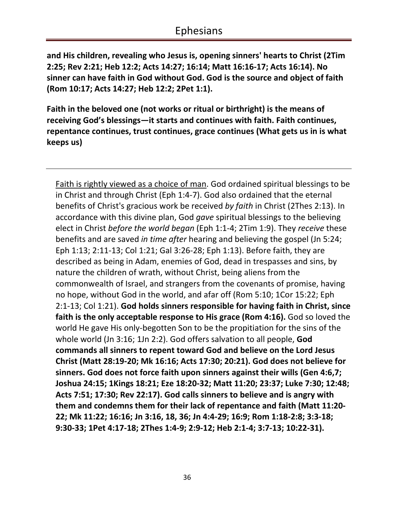**and His children, revealing who Jesus is, opening sinners' hearts to Christ (2Tim 2:25; Rev 2:21; Heb 12:2; Acts 14:27; 16:14; Matt 16:16-17; Acts 16:14). No sinner can have faith in God without God. God is the source and object of faith (Rom 10:17; Acts 14:27; Heb 12:2; 2Pet 1:1).** 

**Faith in the beloved one (not works or ritual or birthright) is the means of receiving God's blessings—it starts and continues with faith. Faith continues, repentance continues, trust continues, grace continues (What gets us in is what keeps us)** 

Faith is rightly viewed as a choice of man. God ordained spiritual blessings to be in Christ and through Christ (Eph 1:4-7). God also ordained that the eternal benefits of Christ's gracious work be received *by faith* in Christ (2Thes 2:13). In accordance with this divine plan, God *gave* spiritual blessings to the believing elect in Christ *before the world began* (Eph 1:1-4; 2Tim 1:9). They *receive* these benefits and are saved *in time after* hearing and believing the gospel (Jn 5:24; Eph 1:13; 2:11-13; Col 1:21; Gal 3:26-28; Eph 1:13). Before faith, they are described as being in Adam, enemies of God, dead in trespasses and sins, by nature the children of wrath, without Christ, being aliens from the commonwealth of Israel, and strangers from the covenants of promise, having no hope, without God in the world, and afar off (Rom 5:10; 1Cor 15:22; Eph 2:1-13; Col 1:21). **God holds sinners responsible for having faith in Christ, since faith is the only acceptable response to His grace (Rom 4:16).** God so loved the world He gave His only-begotten Son to be the propitiation for the sins of the whole world (Jn 3:16; 1Jn 2:2). God offers salvation to all people, **God commands all sinners to repent toward God and believe on the Lord Jesus Christ (Matt 28:19-20; Mk 16:16; Acts 17:30; 20:21). God does not believe for sinners. God does not force faith upon sinners against their wills (Gen 4:6,7; Joshua 24:15; 1Kings 18:21; Eze 18:20-32; Matt 11:20; 23:37; Luke 7:30; 12:48; Acts 7:51; 17:30; Rev 22:17). God calls sinners to believe and is angry with them and condemns them for their lack of repentance and faith (Matt 11:20- 22; Mk 11:22; 16:16; Jn 3:16, 18, 36; Jn 4:4-29; 16:9; Rom 1:18-2:8; 3:3-18; 9:30-33; 1Pet 4:17-18; 2Thes 1:4-9; 2:9-12; Heb 2:1-4; 3:7-13; 10:22-31).**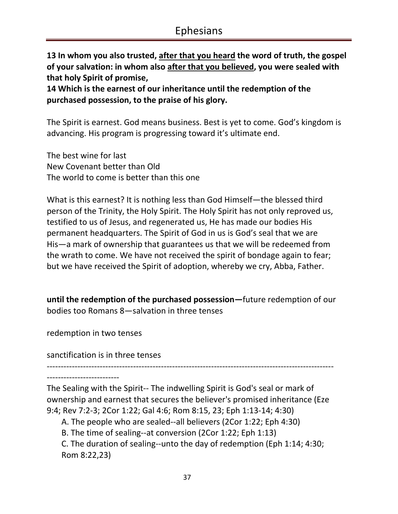**13 In whom you also trusted, after that you heard the word of truth, the gospel of your salvation: in whom also after that you believed, you were sealed with that holy Spirit of promise,** 

**14 Which is the earnest of our inheritance until the redemption of the purchased possession, to the praise of his glory.** 

The Spirit is earnest. God means business. Best is yet to come. God's kingdom is advancing. His program is progressing toward it's ultimate end.

The best wine for last New Covenant better than Old The world to come is better than this one

What is this earnest? It is nothing less than God Himself—the blessed third person of the Trinity, the Holy Spirit. The Holy Spirit has not only reproved us, testified to us of Jesus, and regenerated us, He has made our bodies His permanent headquarters. The Spirit of God in us is God's seal that we are His—a mark of ownership that guarantees us that we will be redeemed from the wrath to come. We have not received the spirit of bondage again to fear; but we have received the Spirit of adoption, whereby we cry, Abba, Father.

**until the redemption of the purchased possession—**future redemption of our bodies too Romans 8—salvation in three tenses

redemption in two tenses

sanctification is in three tenses

-------------------------------------------------------------------------------------------------------

--------------------------

The Sealing with the Spirit-- The indwelling Spirit is God's seal or mark of ownership and earnest that secures the believer's promised inheritance (Eze 9:4; Rev 7:2-3; 2Cor 1:22; Gal 4:6; Rom 8:15, 23; Eph 1:13-14; 4:30)

A. The people who are sealed--all believers (2Cor 1:22; Eph 4:30)

B. The time of sealing--at conversion (2Cor 1:22; Eph 1:13)

C. The duration of sealing--unto the day of redemption (Eph 1:14; 4:30; Rom 8:22,23)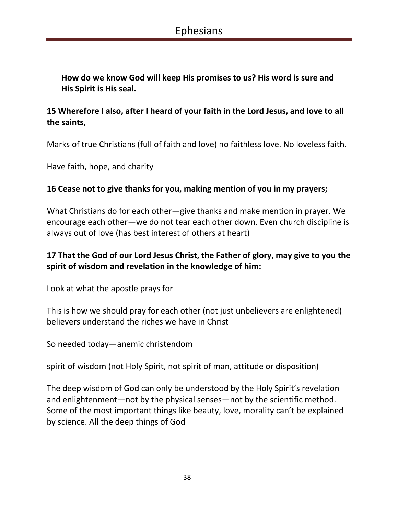**How do we know God will keep His promises to us? His word is sure and His Spirit is His seal.**

# **15 Wherefore I also, after I heard of your faith in the Lord Jesus, and love to all the saints,**

Marks of true Christians (full of faith and love) no faithless love. No loveless faith.

Have faith, hope, and charity

#### **16 Cease not to give thanks for you, making mention of you in my prayers;**

What Christians do for each other—give thanks and make mention in prayer. We encourage each other—we do not tear each other down. Even church discipline is always out of love (has best interest of others at heart)

### **17 That the God of our Lord Jesus Christ, the Father of glory, may give to you the spirit of wisdom and revelation in the knowledge of him:**

Look at what the apostle prays for

This is how we should pray for each other (not just unbelievers are enlightened) believers understand the riches we have in Christ

So needed today—anemic christendom

spirit of wisdom (not Holy Spirit, not spirit of man, attitude or disposition)

The deep wisdom of God can only be understood by the Holy Spirit's revelation and enlightenment—not by the physical senses—not by the scientific method. Some of the most important things like beauty, love, morality can't be explained by science. All the deep things of God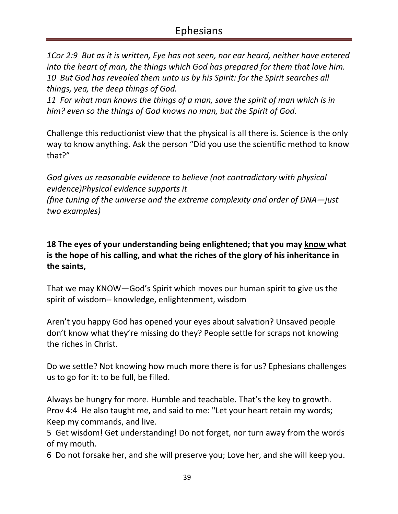*1Cor 2:9 But as it is written, Eye has not seen, nor ear heard, neither have entered into the heart of man, the things which God has prepared for them that love him. 10 But God has revealed them unto us by his Spirit: for the Spirit searches all things, yea, the deep things of God.* 

*11 For what man knows the things of a man, save the spirit of man which is in him? even so the things of God knows no man, but the Spirit of God.* 

Challenge this reductionist view that the physical is all there is. Science is the only way to know anything. Ask the person "Did you use the scientific method to know that?"

*God gives us reasonable evidence to believe (not contradictory with physical evidence)Physical evidence supports it (fine tuning of the universe and the extreme complexity and order of DNA—just two examples)* 

**18 The eyes of your understanding being enlightened; that you may know what is the hope of his calling, and what the riches of the glory of his inheritance in the saints,** 

That we may KNOW—God's Spirit which moves our human spirit to give us the spirit of wisdom-- knowledge, enlightenment, wisdom

Aren't you happy God has opened your eyes about salvation? Unsaved people don't know what they're missing do they? People settle for scraps not knowing the riches in Christ.

Do we settle? Not knowing how much more there is for us? Ephesians challenges us to go for it: to be full, be filled.

Always be hungry for more. Humble and teachable. That's the key to growth. Prov 4:4 He also taught me, and said to me: "Let your heart retain my words; Keep my commands, and live.

5 Get wisdom! Get understanding! Do not forget, nor turn away from the words of my mouth.

6 Do not forsake her, and she will preserve you; Love her, and she will keep you.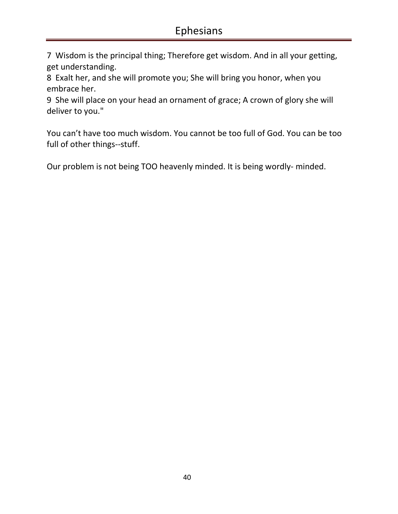7 Wisdom is the principal thing; Therefore get wisdom. And in all your getting, get understanding.

8 Exalt her, and she will promote you; She will bring you honor, when you embrace her.

9 She will place on your head an ornament of grace; A crown of glory she will deliver to you."

You can't have too much wisdom. You cannot be too full of God. You can be too full of other things--stuff.

Our problem is not being TOO heavenly minded. It is being wordly- minded.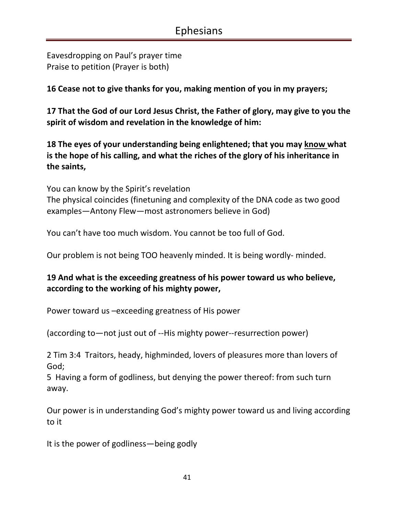Eavesdropping on Paul's prayer time Praise to petition (Prayer is both)

**16 Cease not to give thanks for you, making mention of you in my prayers;** 

**17 That the God of our Lord Jesus Christ, the Father of glory, may give to you the spirit of wisdom and revelation in the knowledge of him:** 

**18 The eyes of your understanding being enlightened; that you may know what is the hope of his calling, and what the riches of the glory of his inheritance in the saints,** 

You can know by the Spirit's revelation The physical coincides (finetuning and complexity of the DNA code as two good examples—Antony Flew—most astronomers believe in God)

You can't have too much wisdom. You cannot be too full of God.

Our problem is not being TOO heavenly minded. It is being wordly- minded.

#### **19 And what is the exceeding greatness of his power toward us who believe, according to the working of his mighty power,**

Power toward us –exceeding greatness of His power

(according to—not just out of --His mighty power--resurrection power)

2 Tim 3:4 Traitors, heady, highminded, lovers of pleasures more than lovers of God;

5 Having a form of godliness, but denying the power thereof: from such turn away.

Our power is in understanding God's mighty power toward us and living according to it

It is the power of godliness—being godly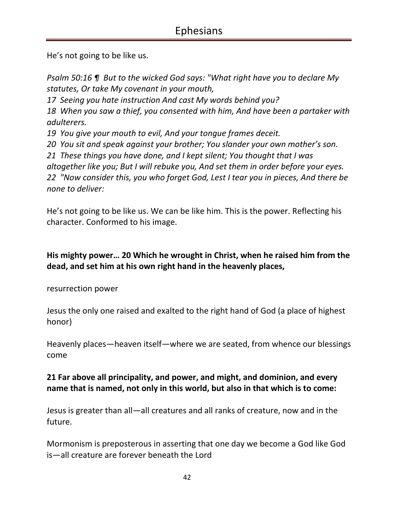He's not going to be like us.

*Psalm 50:16 ¶ But to the wicked God says: "What right have you to declare My statutes, Or take My covenant in your mouth, 17 Seeing you hate instruction And cast My words behind you? 18 When you saw a thief, you consented with him, And have been a partaker with adulterers. 19 You give your mouth to evil, And your tongue frames deceit. 20 You sit and speak against your brother; You slander your own mother's son. 21 These things you have done, and I kept silent; You thought that I was altogether like you; But I will rebuke you, And set them in order before your eyes. 22 "Now consider this, you who forget God, Lest I tear you in pieces, And there be none to deliver:* 

He's not going to be like us. We can be like him. This is the power. Reflecting his character. Conformed to his image.

**His mighty power… 20 Which he wrought in Christ, when he raised him from the dead, and set him at his own right hand in the heavenly places,** 

resurrection power

Jesus the only one raised and exalted to the right hand of God (a place of highest honor)

Heavenly places—heaven itself—where we are seated, from whence our blessings come

### **21 Far above all principality, and power, and might, and dominion, and every name that is named, not only in this world, but also in that which is to come:**

Jesus is greater than all—all creatures and all ranks of creature, now and in the future.

Mormonism is preposterous in asserting that one day we become a God like God is—all creature are forever beneath the Lord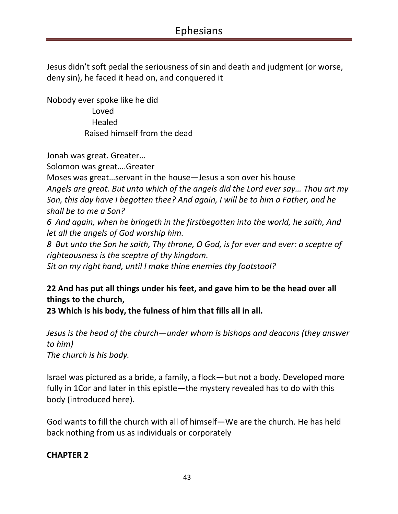Jesus didn't soft pedal the seriousness of sin and death and judgment (or worse, deny sin), he faced it head on, and conquered it

Nobody ever spoke like he did Loved Healed Raised himself from the dead

Jonah was great. Greater…

Solomon was great….Greater

Moses was great…servant in the house—Jesus a son over his house *Angels are great. But unto which of the angels did the Lord ever say… Thou art my Son, this day have I begotten thee? And again, I will be to him a Father, and he shall be to me a Son? 6 And again, when he bringeth in the firstbegotten into the world, he saith, And let all the angels of God worship him.* 

*8 But unto the Son he saith, Thy throne, O God, is for ever and ever: a sceptre of righteousness is the sceptre of thy kingdom.* 

*Sit on my right hand, until I make thine enemies thy footstool?* 

# **22 And has put all things under his feet, and gave him to be the head over all things to the church,**

**23 Which is his body, the fulness of him that fills all in all.** 

*Jesus is the head of the church—under whom is bishops and deacons (they answer to him) The church is his body.*

Israel was pictured as a bride, a family, a flock—but not a body. Developed more fully in 1Cor and later in this epistle—the mystery revealed has to do with this body (introduced here).

God wants to fill the church with all of himself—We are the church. He has held back nothing from us as individuals or corporately

#### **CHAPTER 2**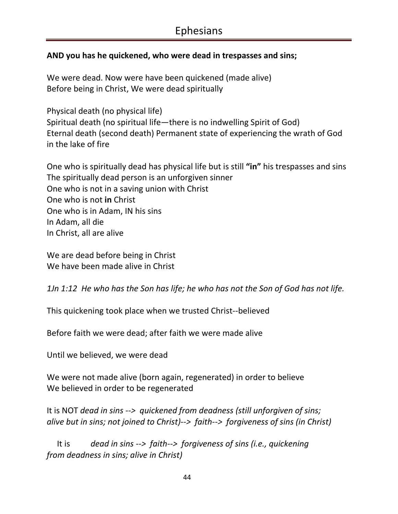### **AND you has he quickened, who were dead in trespasses and sins;**

We were dead. Now were have been quickened (made alive) Before being in Christ, We were dead spiritually

Physical death (no physical life) Spiritual death (no spiritual life—there is no indwelling Spirit of God) Eternal death (second death) Permanent state of experiencing the wrath of God in the lake of fire

One who is spiritually dead has physical life but is still **"in"** his trespasses and sins The spiritually dead person is an unforgiven sinner One who is not in a saving union with Christ One who is not **in** Christ One who is in Adam, IN his sins In Adam, all die In Christ, all are alive

We are dead before being in Christ We have been made alive in Christ

*1Jn 1:12 He who has the Son has life; he who has not the Son of God has not life.* 

This quickening took place when we trusted Christ--believed

Before faith we were dead; after faith we were made alive

Until we believed, we were dead

We were not made alive (born again, regenerated) in order to believe We believed in order to be regenerated

It is NOT *dead in sins --> quickened from deadness (still unforgiven of sins; alive but in sins; not joined to Christ)--> faith--> forgiveness of sins (in Christ)* 

 It is *dead in sins --> faith--> forgiveness of sins (i.e., quickening from deadness in sins; alive in Christ)*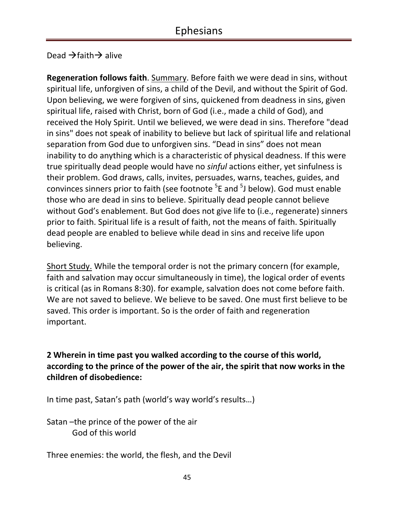Dead  $\rightarrow$  faith  $\rightarrow$  alive

**Regeneration follows faith**. Summary. Before faith we were dead in sins, without spiritual life, unforgiven of sins, a child of the Devil, and without the Spirit of God. Upon believing, we were forgiven of sins, quickened from deadness in sins, given spiritual life, raised with Christ, born of God (i.e., made a child of God), and received the Holy Spirit. Until we believed, we were dead in sins. Therefore "dead in sins" does not speak of inability to believe but lack of spiritual life and relational separation from God due to unforgiven sins. "Dead in sins" does not mean inability to do anything which is a characteristic of physical deadness. If this were true spiritually dead people would have no *sinful* actions either, yet sinfulness is their problem. God draws, calls, invites, persuades, warns, teaches, guides, and convinces sinners prior to faith (see footnote <sup>5</sup>E and <sup>5</sup>J below). God must enable those who are dead in sins to believe. Spiritually dead people cannot believe without God's enablement. But God does not give life to (i.e., regenerate) sinners prior to faith. Spiritual life is a result of faith, not the means of faith. Spiritually dead people are enabled to believe while dead in sins and receive life upon believing.

Short Study. While the temporal order is not the primary concern (for example, faith and salvation may occur simultaneously in time), the logical order of events is critical (as in Romans 8:30). for example, salvation does not come before faith. We are not saved to believe. We believe to be saved. One must first believe to be saved. This order is important. So is the order of faith and regeneration important.

**2 Wherein in time past you walked according to the course of this world, according to the prince of the power of the air, the spirit that now works in the children of disobedience:** 

In time past, Satan's path (world's way world's results…)

Satan –the prince of the power of the air God of this world

Three enemies: the world, the flesh, and the Devil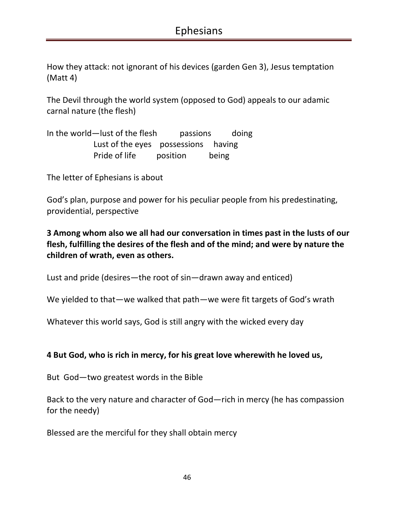How they attack: not ignorant of his devices (garden Gen 3), Jesus temptation (Matt 4)

The Devil through the world system (opposed to God) appeals to our adamic carnal nature (the flesh)

In the world—lust of the flesh passions doing Lust of the eyes possessions having Pride of life position being

The letter of Ephesians is about

God's plan, purpose and power for his peculiar people from his predestinating, providential, perspective

**3 Among whom also we all had our conversation in times past in the lusts of our flesh, fulfilling the desires of the flesh and of the mind; and were by nature the children of wrath, even as others.** 

Lust and pride (desires—the root of sin—drawn away and enticed)

We yielded to that—we walked that path—we were fit targets of God's wrath

Whatever this world says, God is still angry with the wicked every day

#### **4 But God, who is rich in mercy, for his great love wherewith he loved us,**

But God—two greatest words in the Bible

Back to the very nature and character of God—rich in mercy (he has compassion for the needy)

Blessed are the merciful for they shall obtain mercy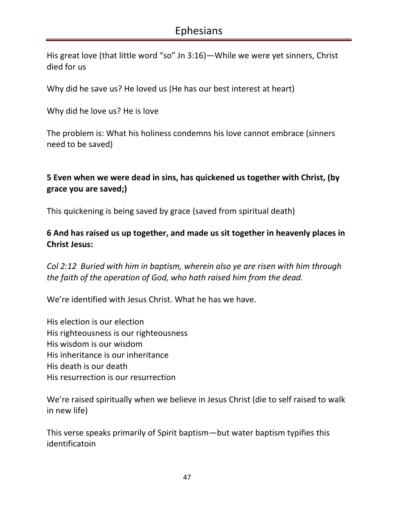His great love (that little word "so" Jn 3:16)—While we were yet sinners, Christ died for us

Why did he save us? He loved us (He has our best interest at heart)

Why did he love us? He is love

The problem is: What his holiness condemns his love cannot embrace (sinners need to be saved)

# **5 Even when we were dead in sins, has quickened us together with Christ, (by grace you are saved;)**

This quickening is being saved by grace (saved from spiritual death)

#### **6 And has raised us up together, and made us sit together in heavenly places in Christ Jesus:**

*Col 2:12 Buried with him in baptism, wherein also ye are risen with him through the faith of the operation of God, who hath raised him from the dead.* 

We're identified with Jesus Christ. What he has we have.

His election is our election His righteousness is our righteousness His wisdom is our wisdom His inheritance is our inheritance His death is our death His resurrection is our resurrection

We're raised spiritually when we believe in Jesus Christ (die to self raised to walk in new life)

This verse speaks primarily of Spirit baptism—but water baptism typifies this identificatoin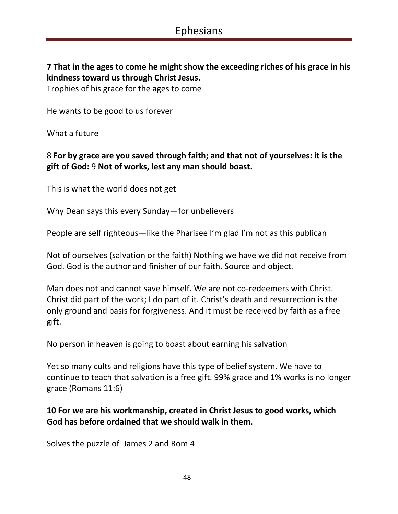**7 That in the ages to come he might show the exceeding riches of his grace in his kindness toward us through Christ Jesus.** 

Trophies of his grace for the ages to come

He wants to be good to us forever

What a future

#### 8 **For by grace are you saved through faith; and that not of yourselves: it is the gift of God:** 9 **Not of works, lest any man should boast.**

This is what the world does not get

Why Dean says this every Sunday—for unbelievers

People are self righteous—like the Pharisee I'm glad I'm not as this publican

Not of ourselves (salvation or the faith) Nothing we have we did not receive from God. God is the author and finisher of our faith. Source and object.

Man does not and cannot save himself. We are not co-redeemers with Christ. Christ did part of the work; I do part of it. Christ's death and resurrection is the only ground and basis for forgiveness. And it must be received by faith as a free gift.

No person in heaven is going to boast about earning his salvation

Yet so many cults and religions have this type of belief system. We have to continue to teach that salvation is a free gift. 99% grace and 1% works is no longer grace (Romans 11:6)

#### **10 For we are his workmanship, created in Christ Jesus to good works, which God has before ordained that we should walk in them.**

Solves the puzzle of James 2 and Rom 4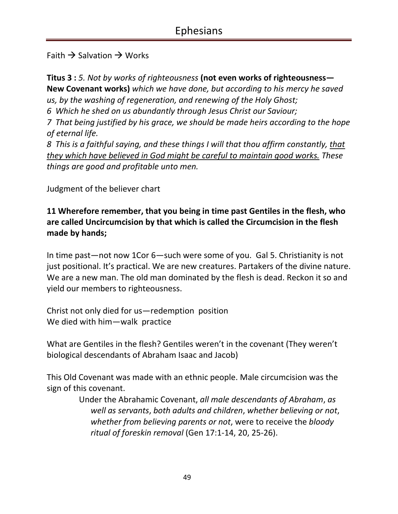Faith  $\rightarrow$  Salvation  $\rightarrow$  Works

**Titus 3 :** *5. Not by works of righteousness* **(not even works of righteousness— New Covenant works)** *which we have done, but according to his mercy he saved us, by the washing of regeneration, and renewing of the Holy Ghost;* 

*6 Which he shed on us abundantly through Jesus Christ our Saviour;* 

*7 That being justified by his grace, we should be made heirs according to the hope of eternal life.* 

*8 This is a faithful saying, and these things I will that thou affirm constantly, that they which have believed in God might be careful to maintain good works. These things are good and profitable unto men.* 

Judgment of the believer chart

**11 Wherefore remember, that you being in time past Gentiles in the flesh, who are called Uncircumcision by that which is called the Circumcision in the flesh made by hands;** 

In time past—not now 1Cor 6—such were some of you. Gal 5. Christianity is not just positional. It's practical. We are new creatures. Partakers of the divine nature. We are a new man. The old man dominated by the flesh is dead. Reckon it so and yield our members to righteousness.

Christ not only died for us—redemption position We died with him—walk practice

What are Gentiles in the flesh? Gentiles weren't in the covenant (They weren't biological descendants of Abraham Isaac and Jacob)

This Old Covenant was made with an ethnic people. Male circumcision was the sign of this covenant.

> Under the Abrahamic Covenant, *all male descendants of Abraham*, *as well as servants*, *both adults and children*, *whether believing or not*, *whether from believing parents or not*, were to receive the *bloody ritual of foreskin removal* (Gen 17:1-14, 20, 25-26).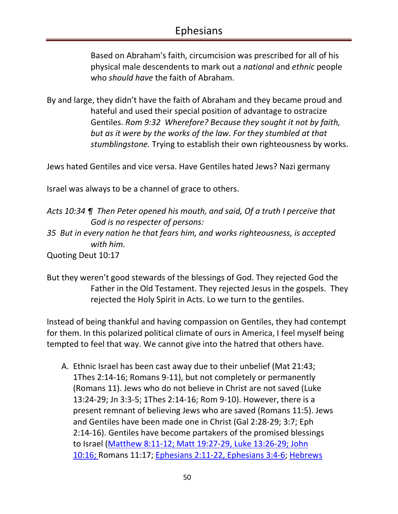Based on Abraham's faith, circumcision was prescribed for all of his physical male descendents to mark out a *national* and *ethnic* people who *should have* the faith of Abraham.

By and large, they didn't have the faith of Abraham and they became proud and hateful and used their special position of advantage to ostracize Gentiles. *Rom 9:32 Wherefore? Because they sought it not by faith, but as it were by the works of the law. For they stumbled at that stumblingstone.* Trying to establish their own righteousness by works.

Jews hated Gentiles and vice versa. Have Gentiles hated Jews? Nazi germany

Israel was always to be a channel of grace to others.

*Acts 10:34 ¶ Then Peter opened his mouth, and said, Of a truth I perceive that God is no respecter of persons: 35 But in every nation he that fears him, and works righteousness, is accepted* 

*with him.* 

Quoting Deut 10:17

But they weren't good stewards of the blessings of God. They rejected God the Father in the Old Testament. They rejected Jesus in the gospels. They rejected the Holy Spirit in Acts. Lo we turn to the gentiles.

Instead of being thankful and having compassion on Gentiles, they had contempt for them. In this polarized political climate of ours in America, I feel myself being tempted to feel that way. We cannot give into the hatred that others have.

A. Ethnic Israel has been cast away due to their unbelief (Mat 21:43; 1Thes 2:14-16; Romans 9-11), but not completely or permanently (Romans 11). Jews who do not believe in Christ are not saved (Luke 13:24-29; Jn 3:3-5; 1Thes 2:14-16; Rom 9-10). However, there is a present remnant of believing Jews who are saved (Romans 11:5). Jews and Gentiles have been made one in Christ (Gal 2:28-29; 3:7; Eph 2:14-16). Gentiles have become partakers of the promised blessings to Israel (Matthew 8:11-12; Matt 19:27-29, Luke 13:26-29; John 10:16; Romans 11:17; Ephesians 2:11-22, Ephesians 3:4-6; Hebrews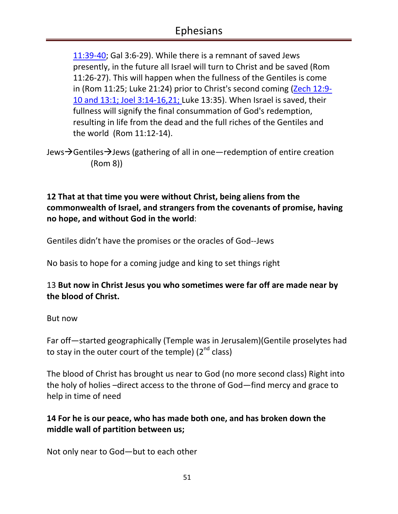11:39-40; Gal 3:6-29). While there is a remnant of saved Jews presently, in the future all Israel will turn to Christ and be saved (Rom 11:26-27). This will happen when the fullness of the Gentiles is come in (Rom 11:25; Luke 21:24) prior to Christ's second coming (Zech 12:9- 10 and 13:1; Joel 3:14-16,21; Luke 13:35). When Israel is saved, their fullness will signify the final consummation of God's redemption, resulting in life from the dead and the full riches of the Gentiles and the world (Rom 11:12-14).

Jews $\rightarrow$ Gentiles $\rightarrow$ Jews (gathering of all in one—redemption of entire creation (Rom 8))

### **12 That at that time you were without Christ, being aliens from the commonwealth of Israel, and strangers from the covenants of promise, having no hope, and without God in the world**:

Gentiles didn't have the promises or the oracles of God--Jews

No basis to hope for a coming judge and king to set things right

### 13 **But now in Christ Jesus you who sometimes were far off are made near by the blood of Christ.**

#### But now

Far off—started geographically (Temple was in Jerusalem)(Gentile proselytes had to stay in the outer court of the temple)  $(2^{nd}$  class)

The blood of Christ has brought us near to God (no more second class) Right into the holy of holies –direct access to the throne of God—find mercy and grace to help in time of need

### **14 For he is our peace, who has made both one, and has broken down the middle wall of partition between us;**

Not only near to God—but to each other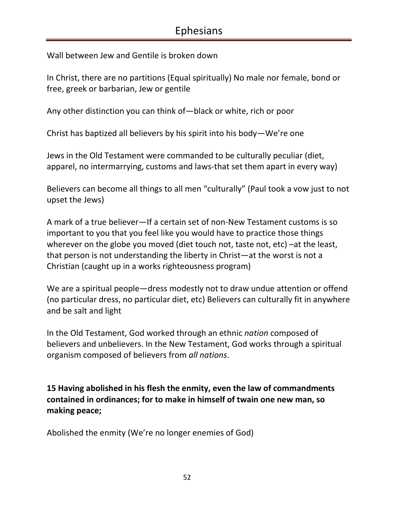Wall between Jew and Gentile is broken down

In Christ, there are no partitions (Equal spiritually) No male nor female, bond or free, greek or barbarian, Jew or gentile

Any other distinction you can think of—black or white, rich or poor

Christ has baptized all believers by his spirit into his body—We're one

Jews in the Old Testament were commanded to be culturally peculiar (diet, apparel, no intermarrying, customs and laws-that set them apart in every way)

Believers can become all things to all men "culturally" (Paul took a vow just to not upset the Jews)

A mark of a true believer—If a certain set of non-New Testament customs is so important to you that you feel like you would have to practice those things wherever on the globe you moved (diet touch not, taste not, etc) –at the least, that person is not understanding the liberty in Christ—at the worst is not a Christian (caught up in a works righteousness program)

We are a spiritual people—dress modestly not to draw undue attention or offend (no particular dress, no particular diet, etc) Believers can culturally fit in anywhere and be salt and light

In the Old Testament, God worked through an ethnic *nation* composed of believers and unbelievers. In the New Testament, God works through a spiritual organism composed of believers from *all nations*.

**15 Having abolished in his flesh the enmity, even the law of commandments contained in ordinances; for to make in himself of twain one new man, so making peace;** 

Abolished the enmity (We're no longer enemies of God)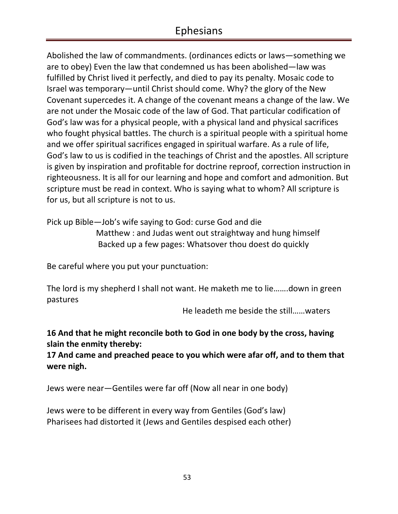Abolished the law of commandments. (ordinances edicts or laws—something we are to obey) Even the law that condemned us has been abolished—law was fulfilled by Christ lived it perfectly, and died to pay its penalty. Mosaic code to Israel was temporary—until Christ should come. Why? the glory of the New Covenant supercedes it. A change of the covenant means a change of the law. We are not under the Mosaic code of the law of God. That particular codification of God's law was for a physical people, with a physical land and physical sacrifices who fought physical battles. The church is a spiritual people with a spiritual home and we offer spiritual sacrifices engaged in spiritual warfare. As a rule of life, God's law to us is codified in the teachings of Christ and the apostles. All scripture is given by inspiration and profitable for doctrine reproof, correction instruction in righteousness. It is all for our learning and hope and comfort and admonition. But scripture must be read in context. Who is saying what to whom? All scripture is for us, but all scripture is not to us.

Pick up Bible—Job's wife saying to God: curse God and die Matthew : and Judas went out straightway and hung himself Backed up a few pages: Whatsover thou doest do quickly

Be careful where you put your punctuation:

The lord is my shepherd I shall not want. He maketh me to lie…….down in green pastures

He leadeth me beside the still……waters

#### **16 And that he might reconcile both to God in one body by the cross, having slain the enmity thereby:**

**17 And came and preached peace to you which were afar off, and to them that were nigh.** 

Jews were near—Gentiles were far off (Now all near in one body)

Jews were to be different in every way from Gentiles (God's law) Pharisees had distorted it (Jews and Gentiles despised each other)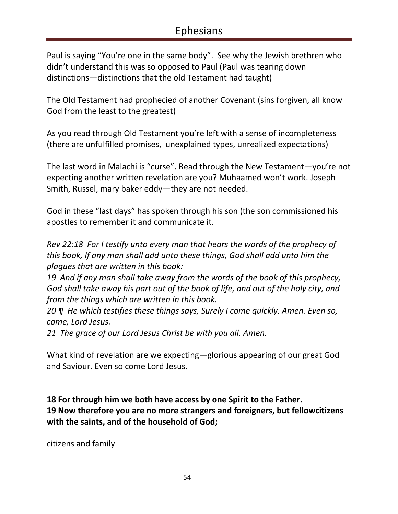Paul is saying "You're one in the same body". See why the Jewish brethren who didn't understand this was so opposed to Paul (Paul was tearing down distinctions—distinctions that the old Testament had taught)

The Old Testament had prophecied of another Covenant (sins forgiven, all know God from the least to the greatest)

As you read through Old Testament you're left with a sense of incompleteness (there are unfulfilled promises, unexplained types, unrealized expectations)

The last word in Malachi is "curse". Read through the New Testament—you're not expecting another written revelation are you? Muhaamed won't work. Joseph Smith, Russel, mary baker eddy—they are not needed.

God in these "last days" has spoken through his son (the son commissioned his apostles to remember it and communicate it.

*Rev 22:18 For I testify unto every man that hears the words of the prophecy of this book, If any man shall add unto these things, God shall add unto him the plagues that are written in this book:* 

*19 And if any man shall take away from the words of the book of this prophecy, God shall take away his part out of the book of life, and out of the holy city, and from the things which are written in this book.* 

*20 ¶ He which testifies these things says, Surely I come quickly. Amen. Even so, come, Lord Jesus.* 

*21 The grace of our Lord Jesus Christ be with you all. Amen.* 

What kind of revelation are we expecting—glorious appearing of our great God and Saviour. Even so come Lord Jesus.

**18 For through him we both have access by one Spirit to the Father. 19 Now therefore you are no more strangers and foreigners, but fellowcitizens with the saints, and of the household of God;** 

citizens and family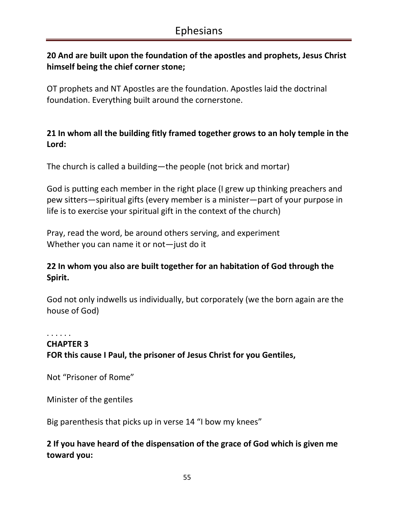# **20 And are built upon the foundation of the apostles and prophets, Jesus Christ himself being the chief corner stone;**

OT prophets and NT Apostles are the foundation. Apostles laid the doctrinal foundation. Everything built around the cornerstone.

### **21 In whom all the building fitly framed together grows to an holy temple in the Lord:**

The church is called a building—the people (not brick and mortar)

God is putting each member in the right place (I grew up thinking preachers and pew sitters—spiritual gifts (every member is a minister—part of your purpose in life is to exercise your spiritual gift in the context of the church)

Pray, read the word, be around others serving, and experiment Whether you can name it or not—just do it

### **22 In whom you also are built together for an habitation of God through the Spirit.**

God not only indwells us individually, but corporately (we the born again are the house of God)

#### . . . . . . **CHAPTER 3 FOR this cause I Paul, the prisoner of Jesus Christ for you Gentiles,**

Not "Prisoner of Rome"

Minister of the gentiles

Big parenthesis that picks up in verse 14 "I bow my knees"

# **2 If you have heard of the dispensation of the grace of God which is given me toward you:**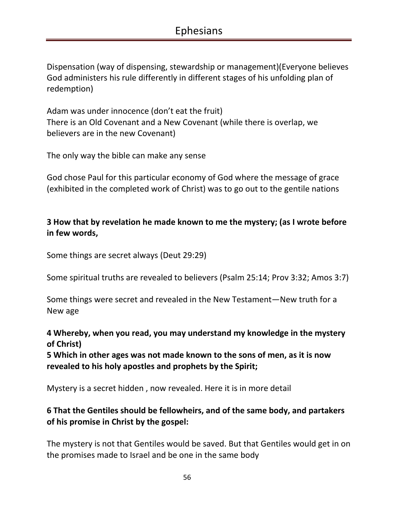Dispensation (way of dispensing, stewardship or management)(Everyone believes God administers his rule differently in different stages of his unfolding plan of redemption)

Adam was under innocence (don't eat the fruit) There is an Old Covenant and a New Covenant (while there is overlap, we believers are in the new Covenant)

The only way the bible can make any sense

God chose Paul for this particular economy of God where the message of grace (exhibited in the completed work of Christ) was to go out to the gentile nations

### **3 How that by revelation he made known to me the mystery; (as I wrote before in few words,**

Some things are secret always (Deut 29:29)

Some spiritual truths are revealed to believers (Psalm 25:14; Prov 3:32; Amos 3:7)

Some things were secret and revealed in the New Testament—New truth for a New age

#### **4 Whereby, when you read, you may understand my knowledge in the mystery of Christ)**

**5 Which in other ages was not made known to the sons of men, as it is now revealed to his holy apostles and prophets by the Spirit;** 

Mystery is a secret hidden , now revealed. Here it is in more detail

# **6 That the Gentiles should be fellowheirs, and of the same body, and partakers of his promise in Christ by the gospel:**

The mystery is not that Gentiles would be saved. But that Gentiles would get in on the promises made to Israel and be one in the same body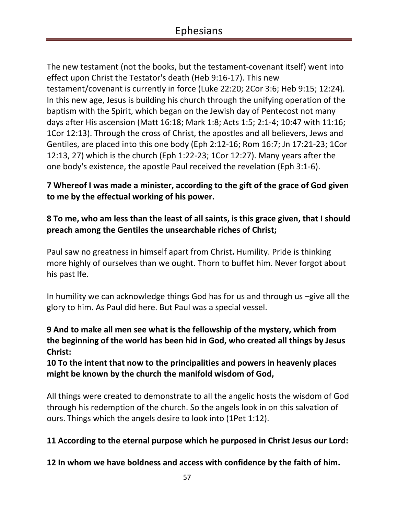The new testament (not the books, but the testament-covenant itself) went into effect upon Christ the Testator's death (Heb 9:16-17). This new testament/covenant is currently in force (Luke 22:20; 2Cor 3:6; Heb 9:15; 12:24). In this new age, Jesus is building his church through the unifying operation of the baptism with the Spirit, which began on the Jewish day of Pentecost not many days after His ascension (Matt 16:18; Mark 1:8; Acts 1:5; 2:1-4; 10:47 with 11:16; 1Cor 12:13). Through the cross of Christ, the apostles and all believers, Jews and Gentiles, are placed into this one body (Eph 2:12-16; Rom 16:7; Jn 17:21-23; 1Cor 12:13, 27) which is the church (Eph 1:22-23; 1Cor 12:27). Many years after the one body's existence, the apostle Paul received the revelation (Eph 3:1-6).

### **7 Whereof I was made a minister, according to the gift of the grace of God given to me by the effectual working of his power.**

# **8 To me, who am less than the least of all saints, is this grace given, that I should preach among the Gentiles the unsearchable riches of Christ;**

Paul saw no greatness in himself apart from Christ**.** Humility. Pride is thinking more highly of ourselves than we ought. Thorn to buffet him. Never forgot about his past lfe.

In humility we can acknowledge things God has for us and through us –give all the glory to him. As Paul did here. But Paul was a special vessel.

# **9 And to make all men see what is the fellowship of the mystery, which from the beginning of the world has been hid in God, who created all things by Jesus Christ:**

**10 To the intent that now to the principalities and powers in heavenly places might be known by the church the manifold wisdom of God,** 

All things were created to demonstrate to all the angelic hosts the wisdom of God through his redemption of the church. So the angels look in on this salvation of ours. Things which the angels desire to look into (1Pet 1:12).

### **11 According to the eternal purpose which he purposed in Christ Jesus our Lord:**

**12 In whom we have boldness and access with confidence by the faith of him.**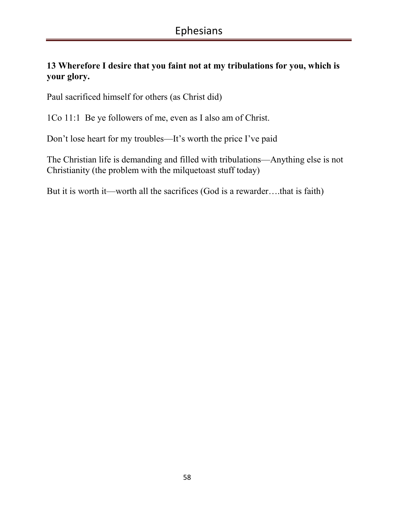# **13 Wherefore I desire that you faint not at my tribulations for you, which is your glory.**

Paul sacrificed himself for others (as Christ did)

1Co 11:1 Be ye followers of me, even as I also am of Christ.

Don't lose heart for my troubles—It's worth the price I've paid

The Christian life is demanding and filled with tribulations—Anything else is not Christianity (the problem with the milquetoast stuff today)

But it is worth it—worth all the sacrifices (God is a rewarder….that is faith)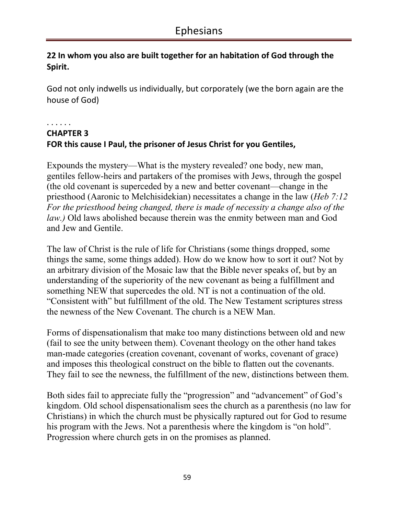# **22 In whom you also are built together for an habitation of God through the Spirit.**

God not only indwells us individually, but corporately (we the born again are the house of God)

. . . . . .

# **CHAPTER 3 FOR this cause I Paul, the prisoner of Jesus Christ for you Gentiles,**

Expounds the mystery—What is the mystery revealed? one body, new man, gentiles fellow-heirs and partakers of the promises with Jews, through the gospel (the old covenant is superceded by a new and better covenant—change in the priesthood (Aaronic to Melchisidekian) necessitates a change in the law (*Heb 7:12 For the priesthood being changed, there is made of necessity a change also of the law.)* Old laws abolished because therein was the enmity between man and God and Jew and Gentile.

The law of Christ is the rule of life for Christians (some things dropped, some things the same, some things added). How do we know how to sort it out? Not by an arbitrary division of the Mosaic law that the Bible never speaks of, but by an understanding of the superiority of the new covenant as being a fulfillment and something NEW that supercedes the old. NT is not a continuation of the old. "Consistent with" but fulfillment of the old. The New Testament scriptures stress the newness of the New Covenant. The church is a NEW Man.

Forms of dispensationalism that make too many distinctions between old and new (fail to see the unity between them). Covenant theology on the other hand takes man-made categories (creation covenant, covenant of works, covenant of grace) and imposes this theological construct on the bible to flatten out the covenants. They fail to see the newness, the fulfillment of the new, distinctions between them.

Both sides fail to appreciate fully the "progression" and "advancement" of God's kingdom. Old school dispensationalism sees the church as a parenthesis (no law for Christians) in which the church must be physically raptured out for God to resume his program with the Jews. Not a parenthesis where the kingdom is "on hold". Progression where church gets in on the promises as planned.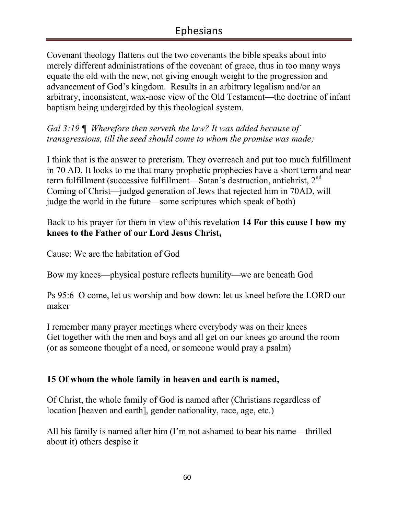Covenant theology flattens out the two covenants the bible speaks about into merely different administrations of the covenant of grace, thus in too many ways equate the old with the new, not giving enough weight to the progression and advancement of God's kingdom. Results in an arbitrary legalism and/or an arbitrary, inconsistent, wax-nose view of the Old Testament—the doctrine of infant baptism being undergirded by this theological system.

*Gal 3:19 ¶ Wherefore then serveth the law? It was added because of transgressions, till the seed should come to whom the promise was made;* 

I think that is the answer to preterism. They overreach and put too much fulfillment in 70 AD. It looks to me that many prophetic prophecies have a short term and near term fulfillment (successive fulfillment—Satan's destruction, antichrist, 2<sup>nd</sup> Coming of Christ—judged generation of Jews that rejected him in 70AD, will judge the world in the future—some scriptures which speak of both)

Back to his prayer for them in view of this revelation **14 For this cause I bow my knees to the Father of our Lord Jesus Christ,** 

Cause: We are the habitation of God

Bow my knees—physical posture reflects humility—we are beneath God

Ps 95:6 O come, let us worship and bow down: let us kneel before the LORD our maker

I remember many prayer meetings where everybody was on their knees Get together with the men and boys and all get on our knees go around the room (or as someone thought of a need, or someone would pray a psalm)

# **15 Of whom the whole family in heaven and earth is named,**

Of Christ, the whole family of God is named after (Christians regardless of location [heaven and earth], gender nationality, race, age, etc.)

All his family is named after him (I'm not ashamed to bear his name—thrilled about it) others despise it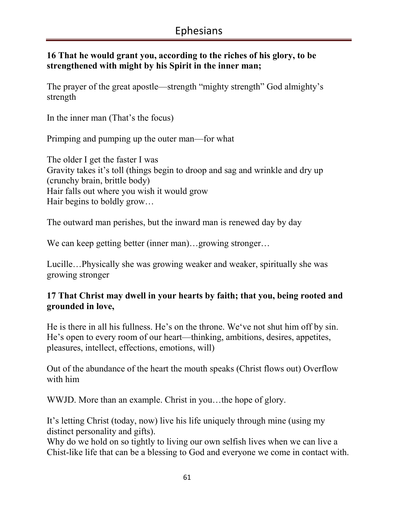#### **16 That he would grant you, according to the riches of his glory, to be strengthened with might by his Spirit in the inner man;**

The prayer of the great apostle—strength "mighty strength" God almighty's strength

In the inner man (That's the focus)

Primping and pumping up the outer man—for what

The older I get the faster I was Gravity takes it's toll (things begin to droop and sag and wrinkle and dry up (crunchy brain, brittle body) Hair falls out where you wish it would grow Hair begins to boldly grow…

The outward man perishes, but the inward man is renewed day by day

We can keep getting better (inner man)…growing stronger…

Lucille…Physically she was growing weaker and weaker, spiritually she was growing stronger

### **17 That Christ may dwell in your hearts by faith; that you, being rooted and grounded in love,**

He is there in all his fullness. He's on the throne. We've not shut him off by sin. He's open to every room of our heart—thinking, ambitions, desires, appetites, pleasures, intellect, effections, emotions, will)

Out of the abundance of the heart the mouth speaks (Christ flows out) Overflow with him

WWJD. More than an example. Christ in you…the hope of glory.

It's letting Christ (today, now) live his life uniquely through mine (using my distinct personality and gifts).

Why do we hold on so tightly to living our own selfish lives when we can live a Chist-like life that can be a blessing to God and everyone we come in contact with.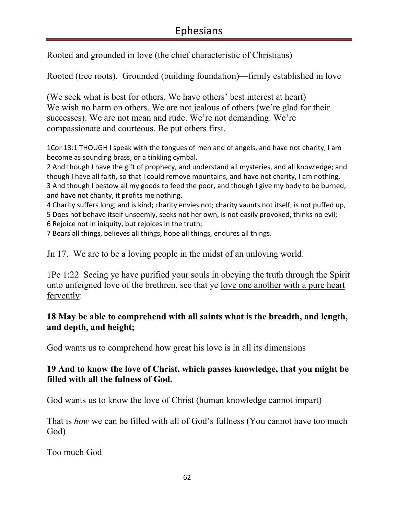Rooted and grounded in love (the chief characteristic of Christians)

Rooted (tree roots). Grounded (building foundation)—firmly established in love

(We seek what is best for others. We have others' best interest at heart) We wish no harm on others. We are not jealous of others (we're glad for their successes). We are not mean and rude. We're not demanding. We're compassionate and courteous. Be put others first.

1Cor 13:1 THOUGH I speak with the tongues of men and of angels, and have not charity, I am become as sounding brass, or a tinkling cymbal.

2 And though I have the gift of prophecy, and understand all mysteries, and all knowledge; and though I have all faith, so that I could remove mountains, and have not charity, I am nothing. 3 And though I bestow all my goods to feed the poor, and though I give my body to be burned, and have not charity, it profits me nothing.

4 Charity suffers long, and is kind; charity envies not; charity vaunts not itself, is not puffed up, 5 Does not behave itself unseemly, seeks not her own, is not easily provoked, thinks no evil; 6 Rejoice not in iniquity, but rejoices in the truth;

7 Bears all things, believes all things, hope all things, endures all things.

Jn 17. We are to be a loving people in the midst of an unloving world.

1Pe 1:22 Seeing ye have purified your souls in obeying the truth through the Spirit unto unfeigned love of the brethren, see that ye love one another with a pure heart fervently:

#### **18 May be able to comprehend with all saints what is the breadth, and length, and depth, and height;**

God wants us to comprehend how great his love is in all its dimensions

### **19 And to know the love of Christ, which passes knowledge, that you might be filled with all the fulness of God.**

God wants us to know the love of Christ (human knowledge cannot impart)

That is *how* we can be filled with all of God's fullness (You cannot have too much God)

Too much God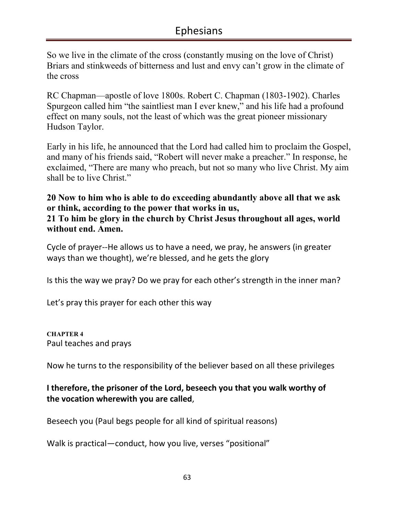So we live in the climate of the cross (constantly musing on the love of Christ) Briars and stinkweeds of bitterness and lust and envy can't grow in the climate of the cross

RC Chapman—apostle of love 1800s. Robert C. Chapman (1803-1902). Charles Spurgeon called him "the saintliest man I ever knew," and his life had a profound effect on many souls, not the least of which was the great pioneer missionary Hudson Taylor.

Early in his life, he announced that the Lord had called him to proclaim the Gospel, and many of his friends said, "Robert will never make a preacher." In response, he exclaimed, "There are many who preach, but not so many who live Christ. My aim shall be to live Christ."

**20 Now to him who is able to do exceeding abundantly above all that we ask or think, according to the power that works in us, 21 To him be glory in the church by Christ Jesus throughout all ages, world without end. Amen.** 

Cycle of prayer--He allows us to have a need, we pray, he answers (in greater ways than we thought), we're blessed, and he gets the glory

Is this the way we pray? Do we pray for each other's strength in the inner man?

Let's pray this prayer for each other this way

**CHAPTER 4**  Paul teaches and prays

Now he turns to the responsibility of the believer based on all these privileges

### **I therefore, the prisoner of the Lord, beseech you that you walk worthy of the vocation wherewith you are called**,

Beseech you (Paul begs people for all kind of spiritual reasons)

Walk is practical—conduct, how you live, verses "positional"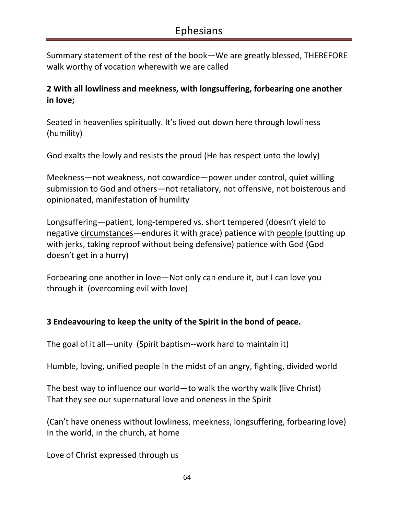Summary statement of the rest of the book—We are greatly blessed, THEREFORE walk worthy of vocation wherewith we are called

### **2 With all lowliness and meekness, with longsuffering, forbearing one another in love;**

Seated in heavenlies spiritually. It's lived out down here through lowliness (humility)

God exalts the lowly and resists the proud (He has respect unto the lowly)

Meekness—not weakness, not cowardice—power under control, quiet willing submission to God and others—not retaliatory, not offensive, not boisterous and opinionated, manifestation of humility

Longsuffering—patient, long-tempered vs. short tempered (doesn't yield to negative circumstances—endures it with grace) patience with people (putting up with jerks, taking reproof without being defensive) patience with God (God doesn't get in a hurry)

Forbearing one another in love—Not only can endure it, but I can love you through it (overcoming evil with love)

### **3 Endeavouring to keep the unity of the Spirit in the bond of peace.**

The goal of it all—unity (Spirit baptism--work hard to maintain it)

Humble, loving, unified people in the midst of an angry, fighting, divided world

The best way to influence our world—to walk the worthy walk (live Christ) That they see our supernatural love and oneness in the Spirit

(Can't have oneness without lowliness, meekness, longsuffering, forbearing love) In the world, in the church, at home

Love of Christ expressed through us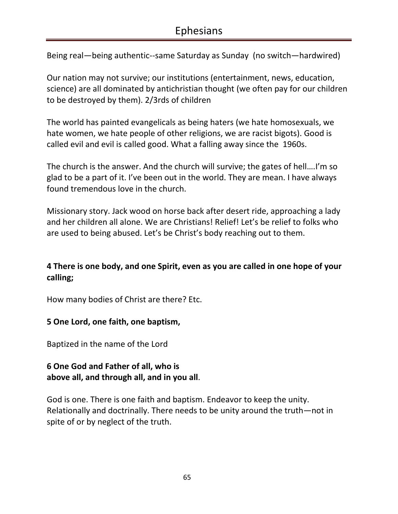Being real—being authentic--same Saturday as Sunday (no switch—hardwired)

Our nation may not survive; our institutions (entertainment, news, education, science) are all dominated by antichristian thought (we often pay for our children to be destroyed by them). 2/3rds of children

The world has painted evangelicals as being haters (we hate homosexuals, we hate women, we hate people of other religions, we are racist bigots). Good is called evil and evil is called good. What a falling away since the 1960s.

The church is the answer. And the church will survive; the gates of hell….I'm so glad to be a part of it. I've been out in the world. They are mean. I have always found tremendous love in the church.

Missionary story. Jack wood on horse back after desert ride, approaching a lady and her children all alone. We are Christians! Relief! Let's be relief to folks who are used to being abused. Let's be Christ's body reaching out to them.

# **4 There is one body, and one Spirit, even as you are called in one hope of your calling;**

How many bodies of Christ are there? Etc.

#### **5 One Lord, one faith, one baptism,**

Baptized in the name of the Lord

### **6 One God and Father of all, who is above all, and through all, and in you all**.

God is one. There is one faith and baptism. Endeavor to keep the unity. Relationally and doctrinally. There needs to be unity around the truth—not in spite of or by neglect of the truth.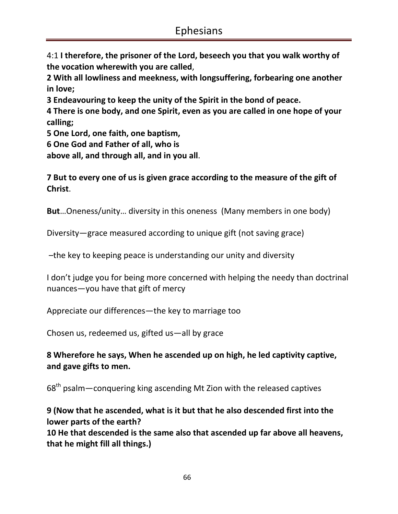4:1 **I therefore, the prisoner of the Lord, beseech you that you walk worthy of the vocation wherewith you are called**,

**2 With all lowliness and meekness, with longsuffering, forbearing one another in love;** 

**3 Endeavouring to keep the unity of the Spirit in the bond of peace.** 

**4 There is one body, and one Spirit, even as you are called in one hope of your calling;** 

**5 One Lord, one faith, one baptism,** 

**6 One God and Father of all, who is** 

**above all, and through all, and in you all**.

**7 But to every one of us is given grace according to the measure of the gift of Christ**.

**But**…Oneness/unity… diversity in this oneness (Many members in one body)

Diversity—grace measured according to unique gift (not saving grace)

–the key to keeping peace is understanding our unity and diversity

I don't judge you for being more concerned with helping the needy than doctrinal nuances—you have that gift of mercy

Appreciate our differences—the key to marriage too

Chosen us, redeemed us, gifted us—all by grace

### **8 Wherefore he says, When he ascended up on high, he led captivity captive, and gave gifts to men.**

68<sup>th</sup> psalm—conquering king ascending Mt Zion with the released captives

**9 (Now that he ascended, what is it but that he also descended first into the lower parts of the earth?** 

**10 He that descended is the same also that ascended up far above all heavens, that he might fill all things.)**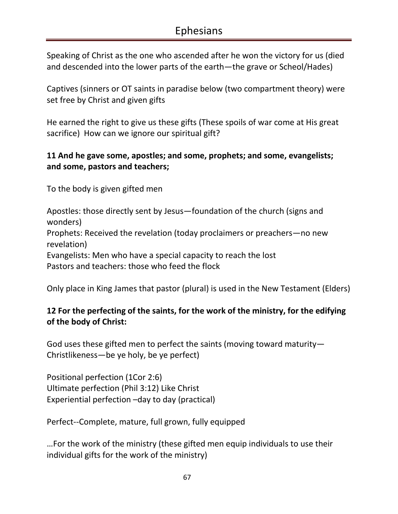Speaking of Christ as the one who ascended after he won the victory for us (died and descended into the lower parts of the earth—the grave or Scheol/Hades)

Captives (sinners or OT saints in paradise below (two compartment theory) were set free by Christ and given gifts

He earned the right to give us these gifts (These spoils of war come at His great sacrifice) How can we ignore our spiritual gift?

### **11 And he gave some, apostles; and some, prophets; and some, evangelists; and some, pastors and teachers;**

To the body is given gifted men

Apostles: those directly sent by Jesus—foundation of the church (signs and wonders)

Prophets: Received the revelation (today proclaimers or preachers—no new revelation)

Evangelists: Men who have a special capacity to reach the lost Pastors and teachers: those who feed the flock

Only place in King James that pastor (plural) is used in the New Testament (Elders)

# **12 For the perfecting of the saints, for the work of the ministry, for the edifying of the body of Christ:**

God uses these gifted men to perfect the saints (moving toward maturity— Christlikeness—be ye holy, be ye perfect)

Positional perfection (1Cor 2:6) Ultimate perfection (Phil 3:12) Like Christ Experiential perfection –day to day (practical)

Perfect--Complete, mature, full grown, fully equipped

…For the work of the ministry (these gifted men equip individuals to use their individual gifts for the work of the ministry)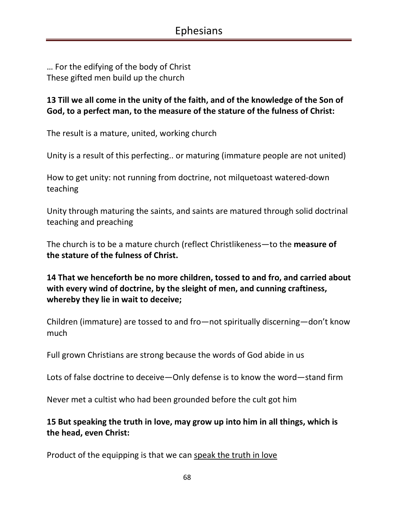… For the edifying of the body of Christ These gifted men build up the church

#### **13 Till we all come in the unity of the faith, and of the knowledge of the Son of God, to a perfect man, to the measure of the stature of the fulness of Christ:**

The result is a mature, united, working church

Unity is a result of this perfecting.. or maturing (immature people are not united)

How to get unity: not running from doctrine, not milquetoast watered-down teaching

Unity through maturing the saints, and saints are matured through solid doctrinal teaching and preaching

The church is to be a mature church (reflect Christlikeness—to the **measure of the stature of the fulness of Christ.** 

**14 That we henceforth be no more children, tossed to and fro, and carried about with every wind of doctrine, by the sleight of men, and cunning craftiness, whereby they lie in wait to deceive;** 

Children (immature) are tossed to and fro—not spiritually discerning—don't know much

Full grown Christians are strong because the words of God abide in us

Lots of false doctrine to deceive—Only defense is to know the word—stand firm

Never met a cultist who had been grounded before the cult got him

### **15 But speaking the truth in love, may grow up into him in all things, which is the head, even Christ:**

Product of the equipping is that we can speak the truth in love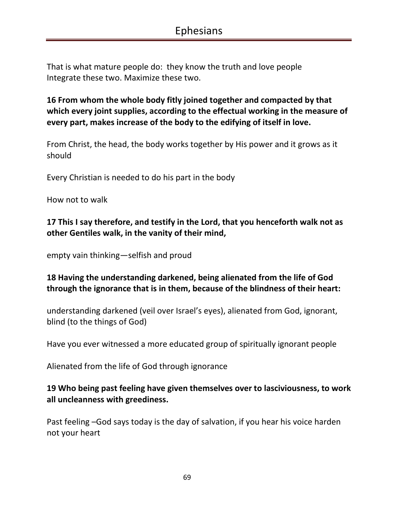That is what mature people do: they know the truth and love people Integrate these two. Maximize these two.

**16 From whom the whole body fitly joined together and compacted by that which every joint supplies, according to the effectual working in the measure of every part, makes increase of the body to the edifying of itself in love.** 

From Christ, the head, the body works together by His power and it grows as it should

Every Christian is needed to do his part in the body

How not to walk

**17 This I say therefore, and testify in the Lord, that you henceforth walk not as other Gentiles walk, in the vanity of their mind,** 

empty vain thinking—selfish and proud

#### **18 Having the understanding darkened, being alienated from the life of God through the ignorance that is in them, because of the blindness of their heart:**

understanding darkened (veil over Israel's eyes), alienated from God, ignorant, blind (to the things of God)

Have you ever witnessed a more educated group of spiritually ignorant people

Alienated from the life of God through ignorance

**19 Who being past feeling have given themselves over to lasciviousness, to work all uncleanness with greediness.** 

Past feeling –God says today is the day of salvation, if you hear his voice harden not your heart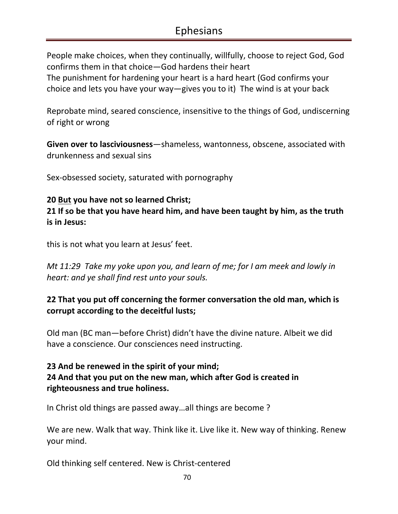People make choices, when they continually, willfully, choose to reject God, God confirms them in that choice—God hardens their heart The punishment for hardening your heart is a hard heart (God confirms your choice and lets you have your way—gives you to it) The wind is at your back

Reprobate mind, seared conscience, insensitive to the things of God, undiscerning of right or wrong

**Given over to lasciviousness**—shameless, wantonness, obscene, associated with drunkenness and sexual sins

Sex-obsessed society, saturated with pornography

#### **20 But you have not so learned Christ;**

**21 If so be that you have heard him, and have been taught by him, as the truth is in Jesus:** 

this is not what you learn at Jesus' feet.

*Mt 11:29 Take my yoke upon you, and learn of me; for I am meek and lowly in heart: and ye shall find rest unto your souls.* 

### **22 That you put off concerning the former conversation the old man, which is corrupt according to the deceitful lusts;**

Old man (BC man—before Christ) didn't have the divine nature. Albeit we did have a conscience. Our consciences need instructing.

# **23 And be renewed in the spirit of your mind; 24 And that you put on the new man, which after God is created in righteousness and true holiness.**

In Christ old things are passed away…all things are become ?

We are new. Walk that way. Think like it. Live like it. New way of thinking. Renew your mind.

Old thinking self centered. New is Christ-centered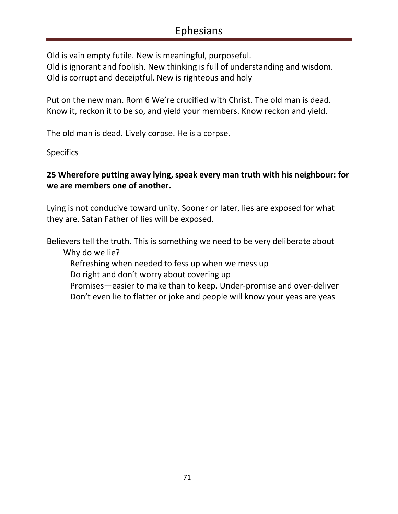Old is vain empty futile. New is meaningful, purposeful.

Old is ignorant and foolish. New thinking is full of understanding and wisdom. Old is corrupt and deceiptful. New is righteous and holy

Put on the new man. Rom 6 We're crucified with Christ. The old man is dead. Know it, reckon it to be so, and yield your members. Know reckon and yield.

The old man is dead. Lively corpse. He is a corpse.

**Specifics** 

# **25 Wherefore putting away lying, speak every man truth with his neighbour: for we are members one of another.**

Lying is not conducive toward unity. Sooner or later, lies are exposed for what they are. Satan Father of lies will be exposed.

Believers tell the truth. This is something we need to be very deliberate about Why do we lie?

Refreshing when needed to fess up when we mess up

Do right and don't worry about covering up

 Promises—easier to make than to keep. Under-promise and over-deliver Don't even lie to flatter or joke and people will know your yeas are yeas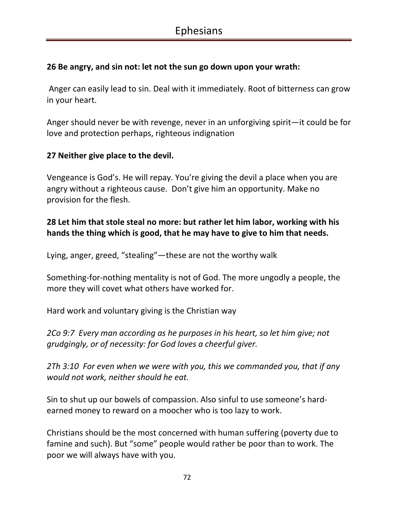#### **26 Be angry, and sin not: let not the sun go down upon your wrath:**

 Anger can easily lead to sin. Deal with it immediately. Root of bitterness can grow in your heart.

Anger should never be with revenge, never in an unforgiving spirit—it could be for love and protection perhaps, righteous indignation

#### **27 Neither give place to the devil.**

Vengeance is God's. He will repay. You're giving the devil a place when you are angry without a righteous cause. Don't give him an opportunity. Make no provision for the flesh.

### **28 Let him that stole steal no more: but rather let him labor, working with his hands the thing which is good, that he may have to give to him that needs.**

Lying, anger, greed, "stealing"—these are not the worthy walk

Something-for-nothing mentality is not of God. The more ungodly a people, the more they will covet what others have worked for.

Hard work and voluntary giving is the Christian way

*2Co 9:7 Every man according as he purposes in his heart, so let him give; not grudgingly, or of necessity: for God loves a cheerful giver.* 

*2Th 3:10 For even when we were with you, this we commanded you, that if any would not work, neither should he eat.* 

Sin to shut up our bowels of compassion. Also sinful to use someone's hardearned money to reward on a moocher who is too lazy to work.

Christians should be the most concerned with human suffering (poverty due to famine and such). But "some" people would rather be poor than to work. The poor we will always have with you.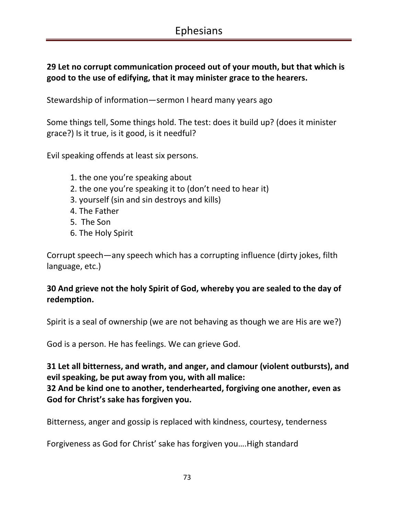# **29 Let no corrupt communication proceed out of your mouth, but that which is good to the use of edifying, that it may minister grace to the hearers.**

Stewardship of information—sermon I heard many years ago

Some things tell, Some things hold. The test: does it build up? (does it minister grace?) Is it true, is it good, is it needful?

Evil speaking offends at least six persons.

- 1. the one you're speaking about
- 2. the one you're speaking it to (don't need to hear it)
- 3. yourself (sin and sin destroys and kills)
- 4. The Father
- 5. The Son
- 6. The Holy Spirit

Corrupt speech—any speech which has a corrupting influence (dirty jokes, filth language, etc.)

### **30 And grieve not the holy Spirit of God, whereby you are sealed to the day of redemption.**

Spirit is a seal of ownership (we are not behaving as though we are His are we?)

God is a person. He has feelings. We can grieve God.

**31 Let all bitterness, and wrath, and anger, and clamour (violent outbursts), and evil speaking, be put away from you, with all malice: 32 And be kind one to another, tenderhearted, forgiving one another, even as God for Christ's sake has forgiven you.** 

Bitterness, anger and gossip is replaced with kindness, courtesy, tenderness

Forgiveness as God for Christ' sake has forgiven you….High standard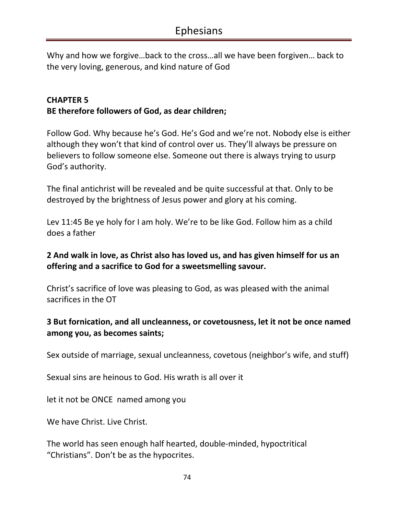Why and how we forgive…back to the cross…all we have been forgiven… back to the very loving, generous, and kind nature of God

### **CHAPTER 5 BE therefore followers of God, as dear children;**

Follow God. Why because he's God. He's God and we're not. Nobody else is either although they won't that kind of control over us. They'll always be pressure on believers to follow someone else. Someone out there is always trying to usurp God's authority.

The final antichrist will be revealed and be quite successful at that. Only to be destroyed by the brightness of Jesus power and glory at his coming.

Lev 11:45 Be ye holy for I am holy. We're to be like God. Follow him as a child does a father

# **2 And walk in love, as Christ also has loved us, and has given himself for us an offering and a sacrifice to God for a sweetsmelling savour.**

Christ's sacrifice of love was pleasing to God, as was pleased with the animal sacrifices in the OT

# **3 But fornication, and all uncleanness, or covetousness, let it not be once named among you, as becomes saints;**

Sex outside of marriage, sexual uncleanness, covetous (neighbor's wife, and stuff)

Sexual sins are heinous to God. His wrath is all over it

let it not be ONCE named among you

We have Christ. Live Christ.

The world has seen enough half hearted, double-minded, hypoctritical "Christians". Don't be as the hypocrites.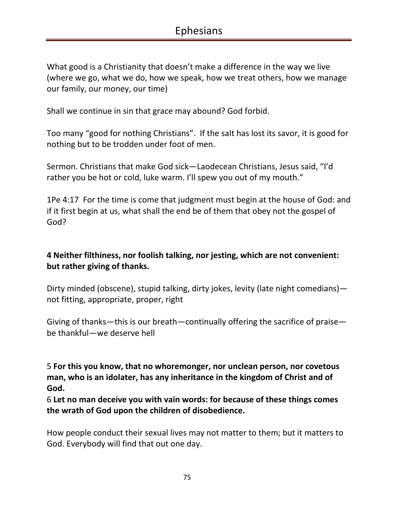What good is a Christianity that doesn't make a difference in the way we live (where we go, what we do, how we speak, how we treat others, how we manage our family, our money, our time)

Shall we continue in sin that grace may abound? God forbid.

Too many "good for nothing Christians". If the salt has lost its savor, it is good for nothing but to be trodden under foot of men.

Sermon. Christians that make God sick—Laodecean Christians, Jesus said, "I'd rather you be hot or cold, luke warm. I'll spew you out of my mouth."

1Pe 4:17 For the time is come that judgment must begin at the house of God: and if it first begin at us, what shall the end be of them that obey not the gospel of God?

### **4 Neither filthiness, nor foolish talking, nor jesting, which are not convenient: but rather giving of thanks.**

Dirty minded (obscene), stupid talking, dirty jokes, levity (late night comedians) not fitting, appropriate, proper, right

Giving of thanks—this is our breath—continually offering the sacrifice of praise be thankful—we deserve hell

5 **For this you know, that no whoremonger, nor unclean person, nor covetous man, who is an idolater, has any inheritance in the kingdom of Christ and of God.** 

6 **Let no man deceive you with vain words: for because of these things comes the wrath of God upon the children of disobedience.**

How people conduct their sexual lives may not matter to them; but it matters to God. Everybody will find that out one day.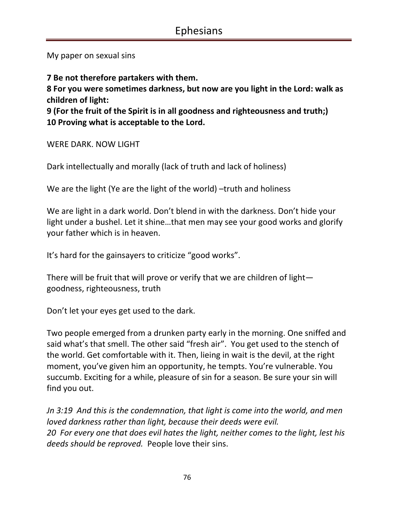My paper on sexual sins

**7 Be not therefore partakers with them.** 

**8 For you were sometimes darkness, but now are you light in the Lord: walk as children of light:** 

**9 (For the fruit of the Spirit is in all goodness and righteousness and truth;) 10 Proving what is acceptable to the Lord.** 

WERE DARK. NOW LIGHT

Dark intellectually and morally (lack of truth and lack of holiness)

We are the light (Ye are the light of the world) –truth and holiness

We are light in a dark world. Don't blend in with the darkness. Don't hide your light under a bushel. Let it shine…that men may see your good works and glorify your father which is in heaven.

It's hard for the gainsayers to criticize "good works".

There will be fruit that will prove or verify that we are children of light goodness, righteousness, truth

Don't let your eyes get used to the dark.

Two people emerged from a drunken party early in the morning. One sniffed and said what's that smell. The other said "fresh air". You get used to the stench of the world. Get comfortable with it. Then, lieing in wait is the devil, at the right moment, you've given him an opportunity, he tempts. You're vulnerable. You succumb. Exciting for a while, pleasure of sin for a season. Be sure your sin will find you out.

*Jn 3:19 And this is the condemnation, that light is come into the world, and men loved darkness rather than light, because their deeds were evil. 20 For every one that does evil hates the light, neither comes to the light, lest his deeds should be reproved.* People love their sins.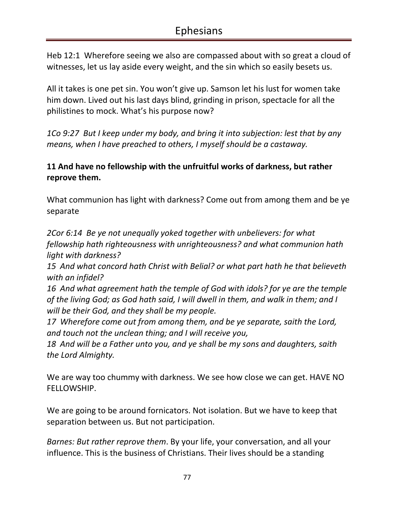Heb 12:1 Wherefore seeing we also are compassed about with so great a cloud of witnesses, let us lay aside every weight, and the sin which so easily besets us.

All it takes is one pet sin. You won't give up. Samson let his lust for women take him down. Lived out his last days blind, grinding in prison, spectacle for all the philistines to mock. What's his purpose now?

*1Co 9:27 But I keep under my body, and bring it into subjection: lest that by any means, when I have preached to others, I myself should be a castaway.* 

### **11 And have no fellowship with the unfruitful works of darkness, but rather reprove them.**

What communion has light with darkness? Come out from among them and be ye separate

*2Cor 6:14 Be ye not unequally yoked together with unbelievers: for what fellowship hath righteousness with unrighteousness? and what communion hath light with darkness?* 

*15 And what concord hath Christ with Belial? or what part hath he that believeth with an infidel?* 

*16 And what agreement hath the temple of God with idols? for ye are the temple of the living God; as God hath said, I will dwell in them, and walk in them; and I will be their God, and they shall be my people.* 

*17 Wherefore come out from among them, and be ye separate, saith the Lord, and touch not the unclean thing; and I will receive you,* 

*18 And will be a Father unto you, and ye shall be my sons and daughters, saith the Lord Almighty.* 

We are way too chummy with darkness. We see how close we can get. HAVE NO FELLOWSHIP.

We are going to be around fornicators. Not isolation. But we have to keep that separation between us. But not participation.

*Barnes: But rather reprove them*. By your life, your conversation, and all your influence. This is the business of Christians. Their lives should be a standing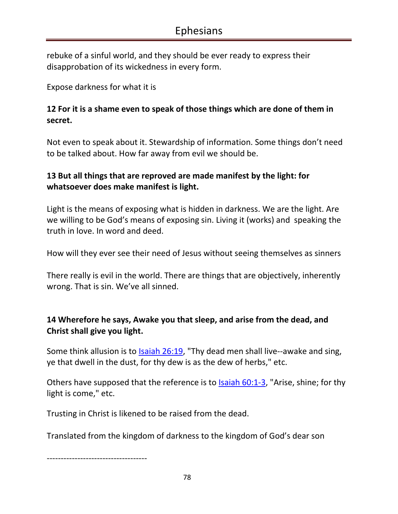rebuke of a sinful world, and they should be ever ready to express their disapprobation of its wickedness in every form.

Expose darkness for what it is

# **12 For it is a shame even to speak of those things which are done of them in secret.**

Not even to speak about it. Stewardship of information. Some things don't need to be talked about. How far away from evil we should be.

# **13 But all things that are reproved are made manifest by the light: for whatsoever does make manifest is light.**

Light is the means of exposing what is hidden in darkness. We are the light. Are we willing to be God's means of exposing sin. Living it (works) and speaking the truth in love. In word and deed.

How will they ever see their need of Jesus without seeing themselves as sinners

There really is evil in the world. There are things that are objectively, inherently wrong. That is sin. We've all sinned.

# **14 Wherefore he says, Awake you that sleep, and arise from the dead, and Christ shall give you light.**

Some think allusion is to Isaiah 26:19, "Thy dead men shall live--awake and sing, ye that dwell in the dust, for thy dew is as the dew of herbs," etc.

Others have supposed that the reference is to  $\frac{1}{3}$  Saiah 60:1-3, "Arise, shine; for thy light is come," etc.

Trusting in Christ is likened to be raised from the dead.

Translated from the kingdom of darkness to the kingdom of God's dear son

------------------------------------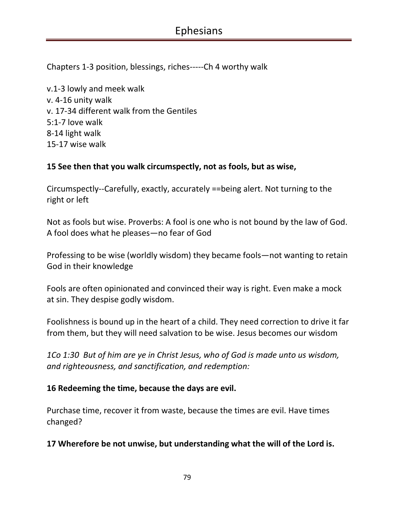Chapters 1-3 position, blessings, riches-----Ch 4 worthy walk

v.1-3 lowly and meek walk v. 4-16 unity walk v. 17-34 different walk from the Gentiles 5:1-7 love walk 8-14 light walk 15-17 wise walk

#### **15 See then that you walk circumspectly, not as fools, but as wise,**

Circumspectly--Carefully, exactly, accurately ==being alert. Not turning to the right or left

Not as fools but wise. Proverbs: A fool is one who is not bound by the law of God. A fool does what he pleases—no fear of God

Professing to be wise (worldly wisdom) they became fools—not wanting to retain God in their knowledge

Fools are often opinionated and convinced their way is right. Even make a mock at sin. They despise godly wisdom.

Foolishness is bound up in the heart of a child. They need correction to drive it far from them, but they will need salvation to be wise. Jesus becomes our wisdom

*1Co 1:30 But of him are ye in Christ Jesus, who of God is made unto us wisdom, and righteousness, and sanctification, and redemption:* 

#### **16 Redeeming the time, because the days are evil.**

Purchase time, recover it from waste, because the times are evil. Have times changed?

#### **17 Wherefore be not unwise, but understanding what the will of the Lord is.**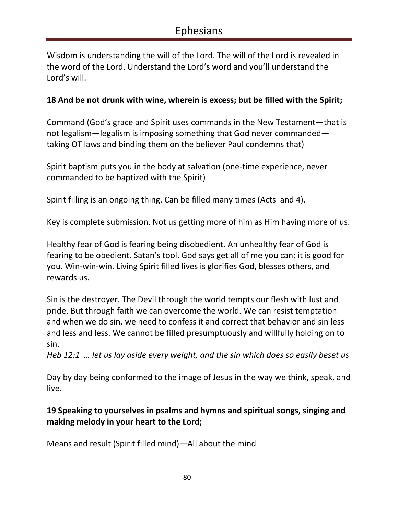Wisdom is understanding the will of the Lord. The will of the Lord is revealed in the word of the Lord. Understand the Lord's word and you'll understand the Lord's will.

#### **18 And be not drunk with wine, wherein is excess; but be filled with the Spirit;**

Command (God's grace and Spirit uses commands in the New Testament—that is not legalism—legalism is imposing something that God never commanded taking OT laws and binding them on the believer Paul condemns that)

Spirit baptism puts you in the body at salvation (one-time experience, never commanded to be baptized with the Spirit)

Spirit filling is an ongoing thing. Can be filled many times (Acts and 4).

Key is complete submission. Not us getting more of him as Him having more of us.

Healthy fear of God is fearing being disobedient. An unhealthy fear of God is fearing to be obedient. Satan's tool. God says get all of me you can; it is good for you. Win-win-win. Living Spirit filled lives is glorifies God, blesses others, and rewards us.

Sin is the destroyer. The Devil through the world tempts our flesh with lust and pride. But through faith we can overcome the world. We can resist temptation and when we do sin, we need to confess it and correct that behavior and sin less and less and less. We cannot be filled presumptuously and willfully holding on to sin.

*Heb 12:1 … let us lay aside every weight, and the sin which does so easily beset us* 

Day by day being conformed to the image of Jesus in the way we think, speak, and live.

# **19 Speaking to yourselves in psalms and hymns and spiritual songs, singing and making melody in your heart to the Lord;**

Means and result (Spirit filled mind)—All about the mind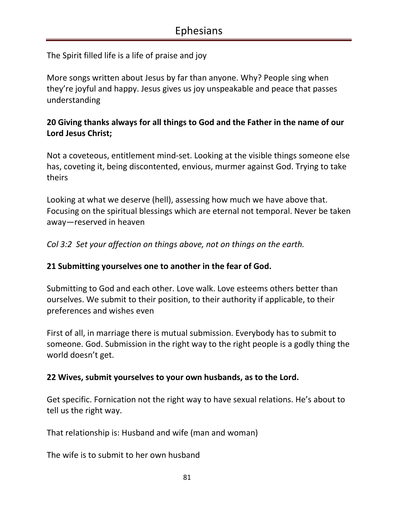The Spirit filled life is a life of praise and joy

More songs written about Jesus by far than anyone. Why? People sing when they're joyful and happy. Jesus gives us joy unspeakable and peace that passes understanding

### **20 Giving thanks always for all things to God and the Father in the name of our Lord Jesus Christ;**

Not a coveteous, entitlement mind-set. Looking at the visible things someone else has, coveting it, being discontented, envious, murmer against God. Trying to take theirs

Looking at what we deserve (hell), assessing how much we have above that. Focusing on the spiritual blessings which are eternal not temporal. Never be taken away—reserved in heaven

*Col 3:2 Set your affection on things above, not on things on the earth.* 

#### **21 Submitting yourselves one to another in the fear of God.**

Submitting to God and each other. Love walk. Love esteems others better than ourselves. We submit to their position, to their authority if applicable, to their preferences and wishes even

First of all, in marriage there is mutual submission. Everybody has to submit to someone. God. Submission in the right way to the right people is a godly thing the world doesn't get.

#### **22 Wives, submit yourselves to your own husbands, as to the Lord.**

Get specific. Fornication not the right way to have sexual relations. He's about to tell us the right way.

That relationship is: Husband and wife (man and woman)

The wife is to submit to her own husband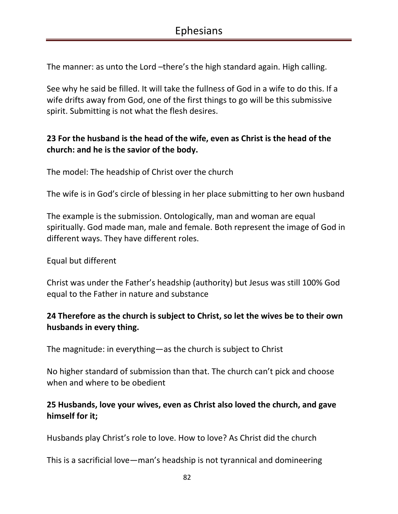The manner: as unto the Lord –there's the high standard again. High calling.

See why he said be filled. It will take the fullness of God in a wife to do this. If a wife drifts away from God, one of the first things to go will be this submissive spirit. Submitting is not what the flesh desires.

# **23 For the husband is the head of the wife, even as Christ is the head of the church: and he is the savior of the body.**

The model: The headship of Christ over the church

The wife is in God's circle of blessing in her place submitting to her own husband

The example is the submission. Ontologically, man and woman are equal spiritually. God made man, male and female. Both represent the image of God in different ways. They have different roles.

Equal but different

Christ was under the Father's headship (authority) but Jesus was still 100% God equal to the Father in nature and substance

# **24 Therefore as the church is subject to Christ, so let the wives be to their own husbands in every thing.**

The magnitude: in everything—as the church is subject to Christ

No higher standard of submission than that. The church can't pick and choose when and where to be obedient

### **25 Husbands, love your wives, even as Christ also loved the church, and gave himself for it;**

Husbands play Christ's role to love. How to love? As Christ did the church

This is a sacrificial love—man's headship is not tyrannical and domineering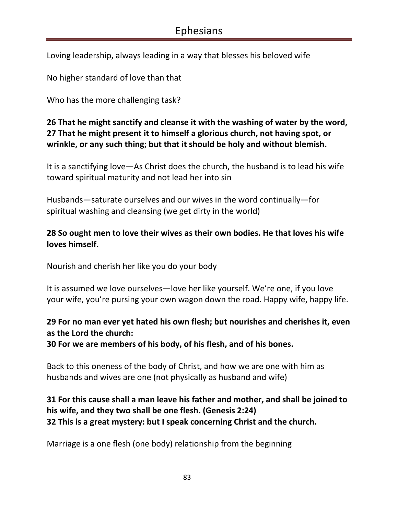Loving leadership, always leading in a way that blesses his beloved wife

No higher standard of love than that

Who has the more challenging task?

# **26 That he might sanctify and cleanse it with the washing of water by the word, 27 That he might present it to himself a glorious church, not having spot, or wrinkle, or any such thing; but that it should be holy and without blemish.**

It is a sanctifying love—As Christ does the church, the husband is to lead his wife toward spiritual maturity and not lead her into sin

Husbands—saturate ourselves and our wives in the word continually—for spiritual washing and cleansing (we get dirty in the world)

# **28 So ought men to love their wives as their own bodies. He that loves his wife loves himself.**

Nourish and cherish her like you do your body

It is assumed we love ourselves—love her like yourself. We're one, if you love your wife, you're pursing your own wagon down the road. Happy wife, happy life.

# **29 For no man ever yet hated his own flesh; but nourishes and cherishes it, even as the Lord the church:**

**30 For we are members of his body, of his flesh, and of his bones.** 

Back to this oneness of the body of Christ, and how we are one with him as husbands and wives are one (not physically as husband and wife)

# **31 For this cause shall a man leave his father and mother, and shall be joined to his wife, and they two shall be one flesh. (Genesis 2:24) 32 This is a great mystery: but I speak concerning Christ and the church.**

Marriage is a one flesh (one body) relationship from the beginning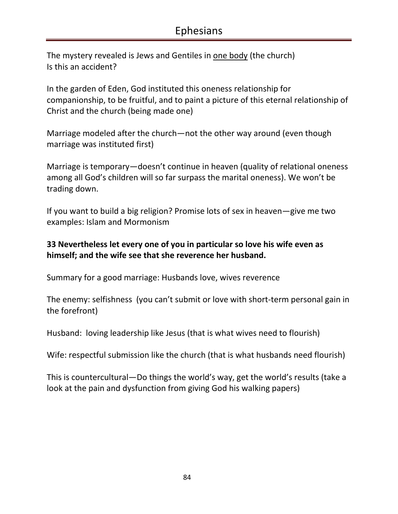The mystery revealed is Jews and Gentiles in one body (the church) Is this an accident?

In the garden of Eden, God instituted this oneness relationship for companionship, to be fruitful, and to paint a picture of this eternal relationship of Christ and the church (being made one)

Marriage modeled after the church—not the other way around (even though marriage was instituted first)

Marriage is temporary—doesn't continue in heaven (quality of relational oneness among all God's children will so far surpass the marital oneness). We won't be trading down.

If you want to build a big religion? Promise lots of sex in heaven—give me two examples: Islam and Mormonism

#### **33 Nevertheless let every one of you in particular so love his wife even as himself; and the wife see that she reverence her husband.**

Summary for a good marriage: Husbands love, wives reverence

The enemy: selfishness (you can't submit or love with short-term personal gain in the forefront)

Husband: loving leadership like Jesus (that is what wives need to flourish)

Wife: respectful submission like the church (that is what husbands need flourish)

This is countercultural—Do things the world's way, get the world's results (take a look at the pain and dysfunction from giving God his walking papers)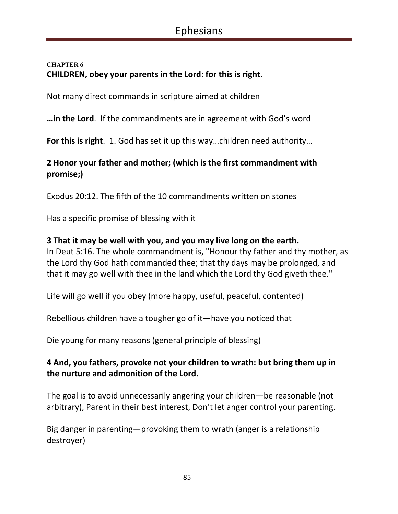#### **CHAPTER 6 CHILDREN, obey your parents in the Lord: for this is right.**

Not many direct commands in scripture aimed at children

**…in the Lord**. If the commandments are in agreement with God's word

**For this is right**. 1. God has set it up this way…children need authority…

# **2 Honor your father and mother; (which is the first commandment with promise;)**

Exodus 20:12. The fifth of the 10 commandments written on stones

Has a specific promise of blessing with it

#### **3 That it may be well with you, and you may live long on the earth.**

In Deut 5:16. The whole commandment is, "Honour thy father and thy mother, as the Lord thy God hath commanded thee; that thy days may be prolonged, and that it may go well with thee in the land which the Lord thy God giveth thee."

Life will go well if you obey (more happy, useful, peaceful, contented)

Rebellious children have a tougher go of it—have you noticed that

Die young for many reasons (general principle of blessing)

### **4 And, you fathers, provoke not your children to wrath: but bring them up in the nurture and admonition of the Lord.**

The goal is to avoid unnecessarily angering your children—be reasonable (not arbitrary), Parent in their best interest, Don't let anger control your parenting.

Big danger in parenting—provoking them to wrath (anger is a relationship destroyer)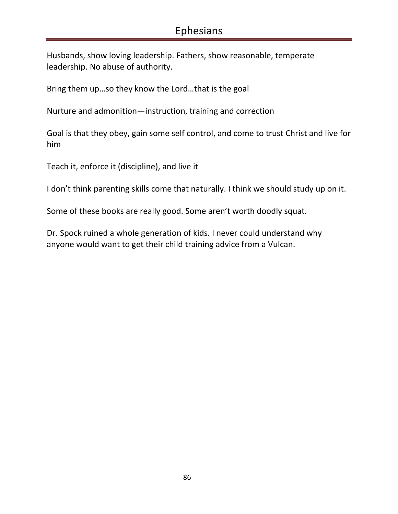Husbands, show loving leadership. Fathers, show reasonable, temperate leadership. No abuse of authority.

Bring them up…so they know the Lord…that is the goal

Nurture and admonition—instruction, training and correction

Goal is that they obey, gain some self control, and come to trust Christ and live for him

Teach it, enforce it (discipline), and live it

I don't think parenting skills come that naturally. I think we should study up on it.

Some of these books are really good. Some aren't worth doodly squat.

Dr. Spock ruined a whole generation of kids. I never could understand why anyone would want to get their child training advice from a Vulcan.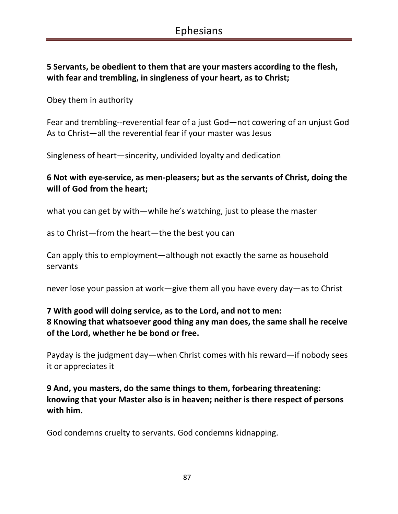# **5 Servants, be obedient to them that are your masters according to the flesh, with fear and trembling, in singleness of your heart, as to Christ;**

Obey them in authority

Fear and trembling--reverential fear of a just God—not cowering of an unjust God As to Christ—all the reverential fear if your master was Jesus

Singleness of heart—sincerity, undivided loyalty and dedication

### **6 Not with eye-service, as men-pleasers; but as the servants of Christ, doing the will of God from the heart;**

what you can get by with—while he's watching, just to please the master

as to Christ—from the heart—the the best you can

Can apply this to employment—although not exactly the same as household servants

never lose your passion at work—give them all you have every day—as to Christ

# **7 With good will doing service, as to the Lord, and not to men: 8 Knowing that whatsoever good thing any man does, the same shall he receive of the Lord, whether he be bond or free.**

Payday is the judgment day—when Christ comes with his reward—if nobody sees it or appreciates it

**9 And, you masters, do the same things to them, forbearing threatening: knowing that your Master also is in heaven; neither is there respect of persons with him.** 

God condemns cruelty to servants. God condemns kidnapping.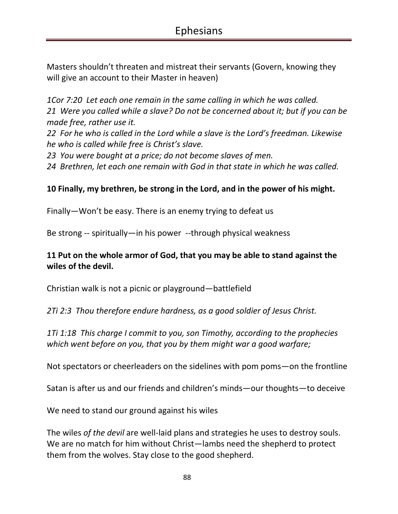Masters shouldn't threaten and mistreat their servants (Govern, knowing they will give an account to their Master in heaven)

*1Cor 7:20 Let each one remain in the same calling in which he was called. 21 Were you called while a slave? Do not be concerned about it; but if you can be made free, rather use it.* 

*22 For he who is called in the Lord while a slave is the Lord's freedman. Likewise he who is called while free is Christ's slave.* 

*23 You were bought at a price; do not become slaves of men.* 

*24 Brethren, let each one remain with God in that state in which he was called.* 

#### **10 Finally, my brethren, be strong in the Lord, and in the power of his might.**

Finally—Won't be easy. There is an enemy trying to defeat us

Be strong -- spiritually—in his power --through physical weakness

#### **11 Put on the whole armor of God, that you may be able to stand against the wiles of the devil.**

Christian walk is not a picnic or playground—battlefield

*2Ti 2:3 Thou therefore endure hardness, as a good soldier of Jesus Christ.* 

*1Ti 1:18 This charge I commit to you, son Timothy, according to the prophecies which went before on you, that you by them might war a good warfare;* 

Not spectators or cheerleaders on the sidelines with pom poms—on the frontline

Satan is after us and our friends and children's minds—our thoughts—to deceive

We need to stand our ground against his wiles

The wiles *of the devil* are well-laid plans and strategies he uses to destroy souls. We are no match for him without Christ—lambs need the shepherd to protect them from the wolves. Stay close to the good shepherd.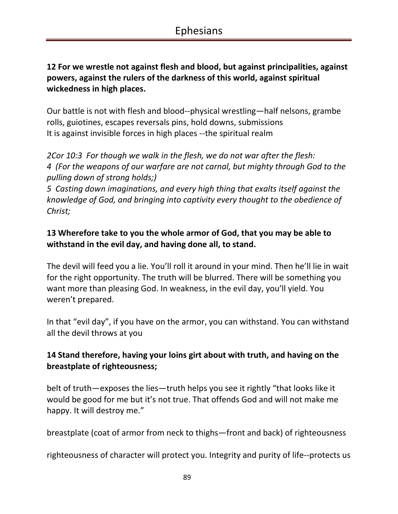## **12 For we wrestle not against flesh and blood, but against principalities, against powers, against the rulers of the darkness of this world, against spiritual wickedness in high places.**

Our battle is not with flesh and blood--physical wrestling—half nelsons, grambe rolls, guiotines, escapes reversals pins, hold downs, submissions It is against invisible forces in high places --the spiritual realm

*2Cor 10:3 For though we walk in the flesh, we do not war after the flesh: 4 (For the weapons of our warfare are not carnal, but mighty through God to the pulling down of strong holds;)* 

*5 Casting down imaginations, and every high thing that exalts itself against the knowledge of God, and bringing into captivity every thought to the obedience of Christ;* 

# **13 Wherefore take to you the whole armor of God, that you may be able to withstand in the evil day, and having done all, to stand.**

The devil will feed you a lie. You'll roll it around in your mind. Then he'll lie in wait for the right opportunity. The truth will be blurred. There will be something you want more than pleasing God. In weakness, in the evil day, you'll yield. You weren't prepared.

In that "evil day", if you have on the armor, you can withstand. You can withstand all the devil throws at you

# **14 Stand therefore, having your loins girt about with truth, and having on the breastplate of righteousness;**

belt of truth—exposes the lies—truth helps you see it rightly "that looks like it would be good for me but it's not true. That offends God and will not make me happy. It will destroy me."

breastplate (coat of armor from neck to thighs—front and back) of righteousness

righteousness of character will protect you. Integrity and purity of life--protects us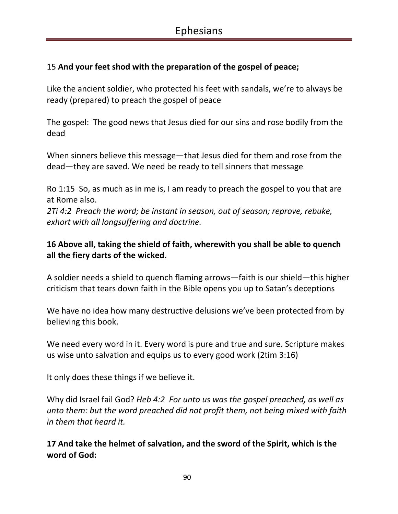## 15 **And your feet shod with the preparation of the gospel of peace;**

Like the ancient soldier, who protected his feet with sandals, we're to always be ready (prepared) to preach the gospel of peace

The gospel: The good news that Jesus died for our sins and rose bodily from the dead

When sinners believe this message—that Jesus died for them and rose from the dead—they are saved. We need be ready to tell sinners that message

Ro 1:15 So, as much as in me is, I am ready to preach the gospel to you that are at Rome also.

*2Ti 4:2 Preach the word; be instant in season, out of season; reprove, rebuke, exhort with all longsuffering and doctrine.* 

## **16 Above all, taking the shield of faith, wherewith you shall be able to quench all the fiery darts of the wicked.**

A soldier needs a shield to quench flaming arrows—faith is our shield—this higher criticism that tears down faith in the Bible opens you up to Satan's deceptions

We have no idea how many destructive delusions we've been protected from by believing this book.

We need every word in it. Every word is pure and true and sure. Scripture makes us wise unto salvation and equips us to every good work (2tim 3:16)

It only does these things if we believe it.

Why did Israel fail God? *Heb 4:2 For unto us was the gospel preached, as well as unto them: but the word preached did not profit them, not being mixed with faith in them that heard it.* 

**17 And take the helmet of salvation, and the sword of the Spirit, which is the word of God:**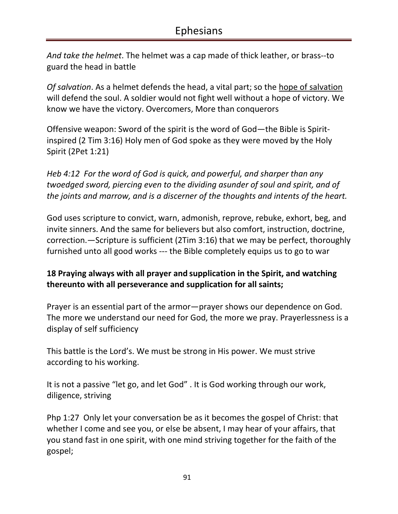*And take the helmet*. The helmet was a cap made of thick leather, or brass--to guard the head in battle

*Of salvation*. As a helmet defends the head, a vital part; so the hope of salvation will defend the soul. A soldier would not fight well without a hope of victory. We know we have the victory. Overcomers, More than conquerors

Offensive weapon: Sword of the spirit is the word of God—the Bible is Spiritinspired (2 Tim 3:16) Holy men of God spoke as they were moved by the Holy Spirit (2Pet 1:21)

*Heb 4:12 For the word of God is quick, and powerful, and sharper than any twoedged sword, piercing even to the dividing asunder of soul and spirit, and of the joints and marrow, and is a discerner of the thoughts and intents of the heart.* 

God uses scripture to convict, warn, admonish, reprove, rebuke, exhort, beg, and invite sinners. And the same for believers but also comfort, instruction, doctrine, correction.—Scripture is sufficient (2Tim 3:16) that we may be perfect, thoroughly furnished unto all good works --- the Bible completely equips us to go to war

### **18 Praying always with all prayer and supplication in the Spirit, and watching thereunto with all perseverance and supplication for all saints;**

Prayer is an essential part of the armor—prayer shows our dependence on God. The more we understand our need for God, the more we pray. Prayerlessness is a display of self sufficiency

This battle is the Lord's. We must be strong in His power. We must strive according to his working.

It is not a passive "let go, and let God" . It is God working through our work, diligence, striving

Php 1:27 Only let your conversation be as it becomes the gospel of Christ: that whether I come and see you, or else be absent, I may hear of your affairs, that you stand fast in one spirit, with one mind striving together for the faith of the gospel;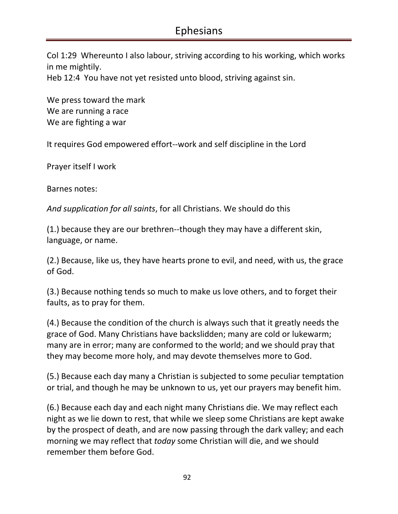Col 1:29 Whereunto I also labour, striving according to his working, which works in me mightily.

Heb 12:4 You have not yet resisted unto blood, striving against sin.

We press toward the mark We are running a race We are fighting a war

It requires God empowered effort--work and self discipline in the Lord

Prayer itself I work

Barnes notes:

*And supplication for all saints*, for all Christians. We should do this

(1.) because they are our brethren--though they may have a different skin, language, or name.

(2.) Because, like us, they have hearts prone to evil, and need, with us, the grace of God.

(3.) Because nothing tends so much to make us love others, and to forget their faults, as to pray for them.

(4.) Because the condition of the church is always such that it greatly needs the grace of God. Many Christians have backslidden; many are cold or lukewarm; many are in error; many are conformed to the world; and we should pray that they may become more holy, and may devote themselves more to God.

(5.) Because each day many a Christian is subjected to some peculiar temptation or trial, and though he may be unknown to us, yet our prayers may benefit him.

(6.) Because each day and each night many Christians die. We may reflect each night as we lie down to rest, that while we sleep some Christians are kept awake by the prospect of death, and are now passing through the dark valley; and each morning we may reflect that *today* some Christian will die, and we should remember them before God.